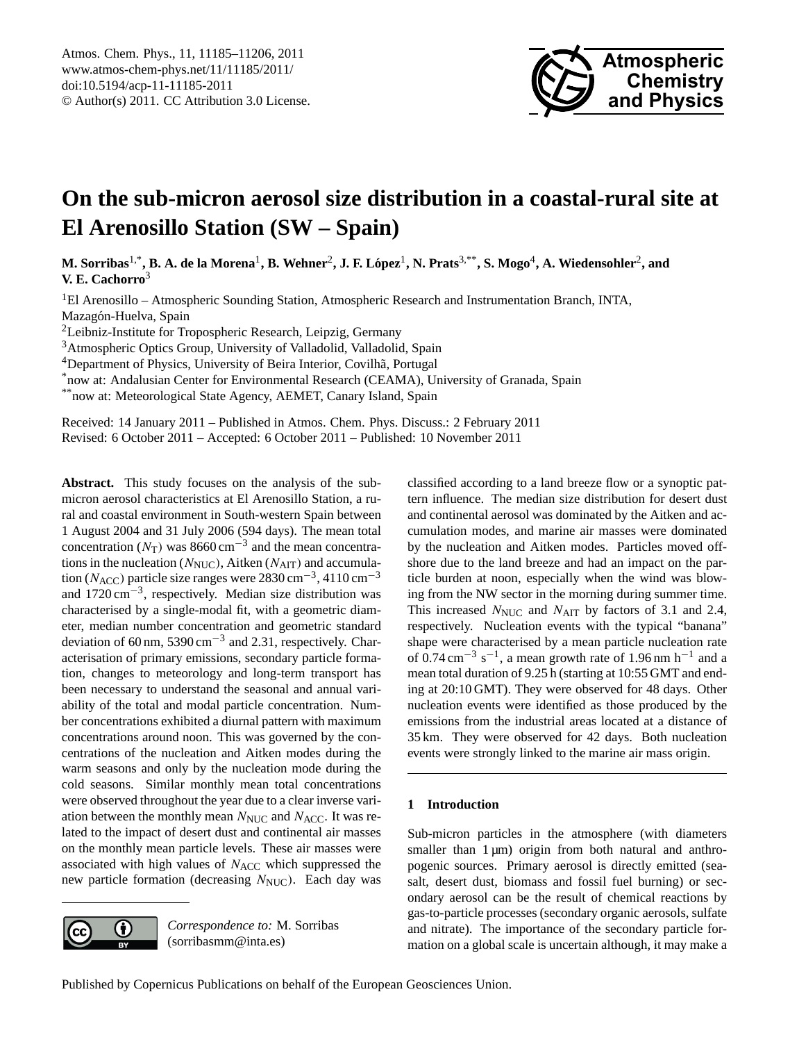

# <span id="page-0-0"></span>**On the sub-micron aerosol size distribution in a coastal-rural site at El Arenosillo Station (SW – Spain)**

 $M$ . Sorribas<sup>1,\*</sup>, B. A. de la Morena<sup>1</sup>, B. Wehner<sup>2</sup>, J. F. López<sup>1</sup>, N. Prats<sup>3,\*\*</sup>, S. Mogo<sup>4</sup>, A. Wiedensohler<sup>2</sup>, and **V. E. Cachorro**<sup>3</sup>

 ${}^{1}$ El Arenosillo – Atmospheric Sounding Station, Atmospheric Research and Instrumentation Branch, INTA, Mazagón-Huelva, Spain

<sup>2</sup>Leibniz-Institute for Tropospheric Research, Leipzig, Germany

<sup>3</sup>Atmospheric Optics Group, University of Valladolid, Valladolid, Spain

<sup>4</sup>Department of Physics, University of Beira Interior, Covilhã, Portugal

\*now at: Andalusian Center for Environmental Research (CEAMA), University of Granada, Spain

\*\*now at: Meteorological State Agency, AEMET, Canary Island, Spain

Received: 14 January 2011 – Published in Atmos. Chem. Phys. Discuss.: 2 February 2011 Revised: 6 October 2011 – Accepted: 6 October 2011 – Published: 10 November 2011

**Abstract.** This study focuses on the analysis of the submicron aerosol characteristics at El Arenosillo Station, a rural and coastal environment in South-western Spain between 1 August 2004 and 31 July 2006 (594 days). The mean total concentration ( $N_T$ ) was 8660 cm<sup>-3</sup> and the mean concentrations in the nucleation ( $N_{\text{NUC}}$ ), Aitken ( $N_{\text{AIT}}$ ) and accumulation ( $N_{\text{ACC}}$ ) particle size ranges were 2830 cm<sup>-3</sup>, 4110 cm<sup>-3</sup> and 1720 cm−<sup>3</sup> , respectively. Median size distribution was characterised by a single-modal fit, with a geometric diameter, median number concentration and geometric standard deviation of 60 nm, 5390  $\text{cm}^{-3}$  and 2.31, respectively. Characterisation of primary emissions, secondary particle formation, changes to meteorology and long-term transport has been necessary to understand the seasonal and annual variability of the total and modal particle concentration. Number concentrations exhibited a diurnal pattern with maximum concentrations around noon. This was governed by the concentrations of the nucleation and Aitken modes during the warm seasons and only by the nucleation mode during the cold seasons. Similar monthly mean total concentrations were observed throughout the year due to a clear inverse variation between the monthly mean  $N_{\text{NUC}}$  and  $N_{\text{ACC}}$ . It was related to the impact of desert dust and continental air masses on the monthly mean particle levels. These air masses were associated with high values of  $N_{\text{ACC}}$  which suppressed the new particle formation (decreasing  $N_{\text{NUC}}$ ). Each day was



*Correspondence to:* M. Sorribas (sorribasmm@inta.es)

classified according to a land breeze flow or a synoptic pattern influence. The median size distribution for desert dust and continental aerosol was dominated by the Aitken and accumulation modes, and marine air masses were dominated by the nucleation and Aitken modes. Particles moved offshore due to the land breeze and had an impact on the particle burden at noon, especially when the wind was blowing from the NW sector in the morning during summer time. This increased  $N_{\text{NUC}}$  and  $N_{\text{AIT}}$  by factors of 3.1 and 2.4, respectively. Nucleation events with the typical "banana" shape were characterised by a mean particle nucleation rate of  $0.74 \text{ cm}^{-3} \text{ s}^{-1}$ , a mean growth rate of 1.96 nm h<sup>-1</sup> and a mean total duration of 9.25 h (starting at 10:55 GMT and ending at 20:10 GMT). They were observed for 48 days. Other nucleation events were identified as those produced by the emissions from the industrial areas located at a distance of 35 km. They were observed for 42 days. Both nucleation events were strongly linked to the marine air mass origin.

## **1 Introduction**

Sub-micron particles in the atmosphere (with diameters smaller than  $1 \mu m$ ) origin from both natural and anthropogenic sources. Primary aerosol is directly emitted (seasalt, desert dust, biomass and fossil fuel burning) or secondary aerosol can be the result of chemical reactions by gas-to-particle processes (secondary organic aerosols, sulfate and nitrate). The importance of the secondary particle formation on a global scale is uncertain although, it may make a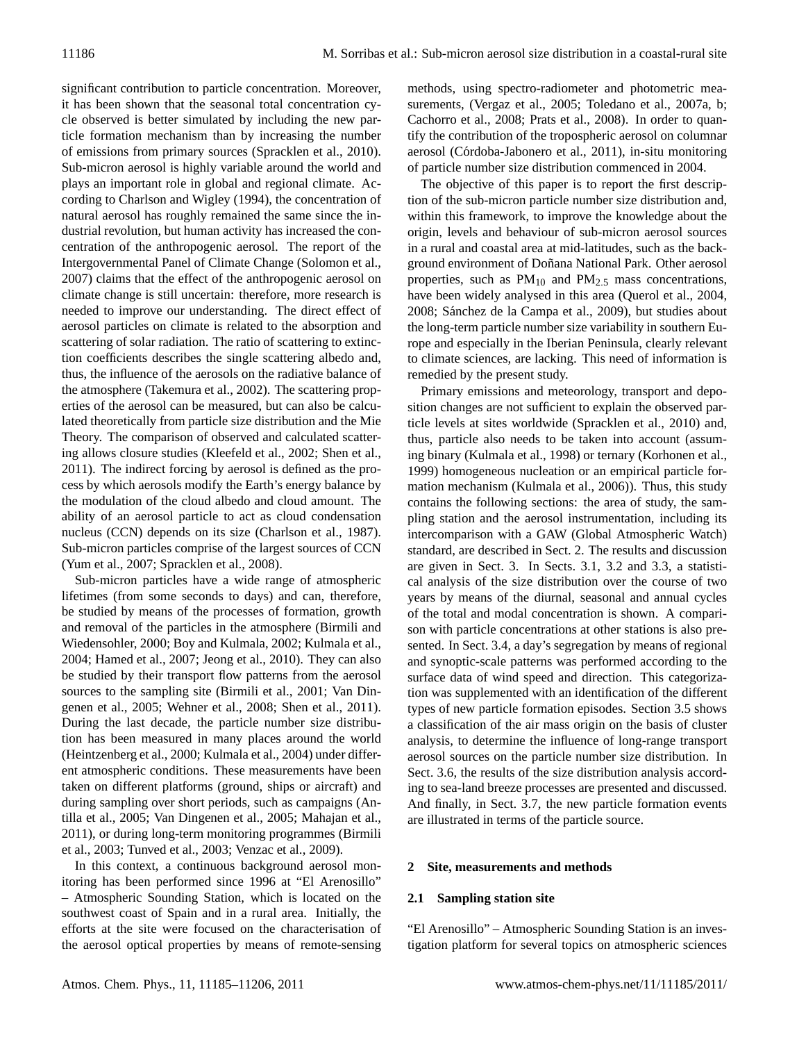significant contribution to particle concentration. Moreover, it has been shown that the seasonal total concentration cycle observed is better simulated by including the new particle formation mechanism than by increasing the number of emissions from primary sources (Spracklen et al., 2010). Sub-micron aerosol is highly variable around the world and plays an important role in global and regional climate. According to Charlson and Wigley (1994), the concentration of natural aerosol has roughly remained the same since the industrial revolution, but human activity has increased the concentration of the anthropogenic aerosol. The report of the Intergovernmental Panel of Climate Change (Solomon et al., 2007) claims that the effect of the anthropogenic aerosol on climate change is still uncertain: therefore, more research is needed to improve our understanding. The direct effect of aerosol particles on climate is related to the absorption and scattering of solar radiation. The ratio of scattering to extinction coefficients describes the single scattering albedo and, thus, the influence of the aerosols on the radiative balance of the atmosphere (Takemura et al., 2002). The scattering properties of the aerosol can be measured, but can also be calculated theoretically from particle size distribution and the Mie Theory. The comparison of observed and calculated scattering allows closure studies (Kleefeld et al., 2002; Shen et al., 2011). The indirect forcing by aerosol is defined as the process by which aerosols modify the Earth's energy balance by the modulation of the cloud albedo and cloud amount. The ability of an aerosol particle to act as cloud condensation nucleus (CCN) depends on its size (Charlson et al., 1987). Sub-micron particles comprise of the largest sources of CCN (Yum et al., 2007; Spracklen et al., 2008).

Sub-micron particles have a wide range of atmospheric lifetimes (from some seconds to days) and can, therefore, be studied by means of the processes of formation, growth and removal of the particles in the atmosphere (Birmili and Wiedensohler, 2000; Boy and Kulmala, 2002; Kulmala et al., 2004; Hamed et al., 2007; Jeong et al., 2010). They can also be studied by their transport flow patterns from the aerosol sources to the sampling site (Birmili et al., 2001; Van Dingenen et al., 2005; Wehner et al., 2008; Shen et al., 2011). During the last decade, the particle number size distribution has been measured in many places around the world (Heintzenberg et al., 2000; Kulmala et al., 2004) under different atmospheric conditions. These measurements have been taken on different platforms (ground, ships or aircraft) and during sampling over short periods, such as campaigns (Antilla et al., 2005; Van Dingenen et al., 2005; Mahajan et al., 2011), or during long-term monitoring programmes (Birmili et al., 2003; Tunved et al., 2003; Venzac et al., 2009).

In this context, a continuous background aerosol monitoring has been performed since 1996 at "El Arenosillo" – Atmospheric Sounding Station, which is located on the southwest coast of Spain and in a rural area. Initially, the efforts at the site were focused on the characterisation of the aerosol optical properties by means of remote-sensing methods, using spectro-radiometer and photometric measurements, (Vergaz et al., 2005; Toledano et al., 2007a, b; Cachorro et al., 2008; Prats et al., 2008). In order to quantify the contribution of the tropospheric aerosol on columnar aerosol (Córdoba-Jabonero et al., 2011), in-situ monitoring of particle number size distribution commenced in 2004.

The objective of this paper is to report the first description of the sub-micron particle number size distribution and, within this framework, to improve the knowledge about the origin, levels and behaviour of sub-micron aerosol sources in a rural and coastal area at mid-latitudes, such as the background environment of Doñana National Park. Other aerosol properties, such as  $PM_{10}$  and  $PM_{2.5}$  mass concentrations, have been widely analysed in this area (Querol et al., 2004, 2008; Sánchez de la Campa et al., 2009), but studies about the long-term particle number size variability in southern Europe and especially in the Iberian Peninsula, clearly relevant to climate sciences, are lacking. This need of information is remedied by the present study.

Primary emissions and meteorology, transport and deposition changes are not sufficient to explain the observed particle levels at sites worldwide (Spracklen et al., 2010) and, thus, particle also needs to be taken into account (assuming binary (Kulmala et al., 1998) or ternary (Korhonen et al., 1999) homogeneous nucleation or an empirical particle formation mechanism (Kulmala et al., 2006)). Thus, this study contains the following sections: the area of study, the sampling station and the aerosol instrumentation, including its intercomparison with a GAW (Global Atmospheric Watch) standard, are described in Sect. 2. The results and discussion are given in Sect. 3. In Sects. 3.1, 3.2 and 3.3, a statistical analysis of the size distribution over the course of two years by means of the diurnal, seasonal and annual cycles of the total and modal concentration is shown. A comparison with particle concentrations at other stations is also presented. In Sect. 3.4, a day's segregation by means of regional and synoptic-scale patterns was performed according to the surface data of wind speed and direction. This categorization was supplemented with an identification of the different types of new particle formation episodes. Section 3.5 shows a classification of the air mass origin on the basis of cluster analysis, to determine the influence of long-range transport aerosol sources on the particle number size distribution. In Sect. 3.6, the results of the size distribution analysis according to sea-land breeze processes are presented and discussed. And finally, in Sect. 3.7, the new particle formation events are illustrated in terms of the particle source.

## **2 Site, measurements and methods**

## **2.1 Sampling station site**

"El Arenosillo" – Atmospheric Sounding Station is an investigation platform for several topics on atmospheric sciences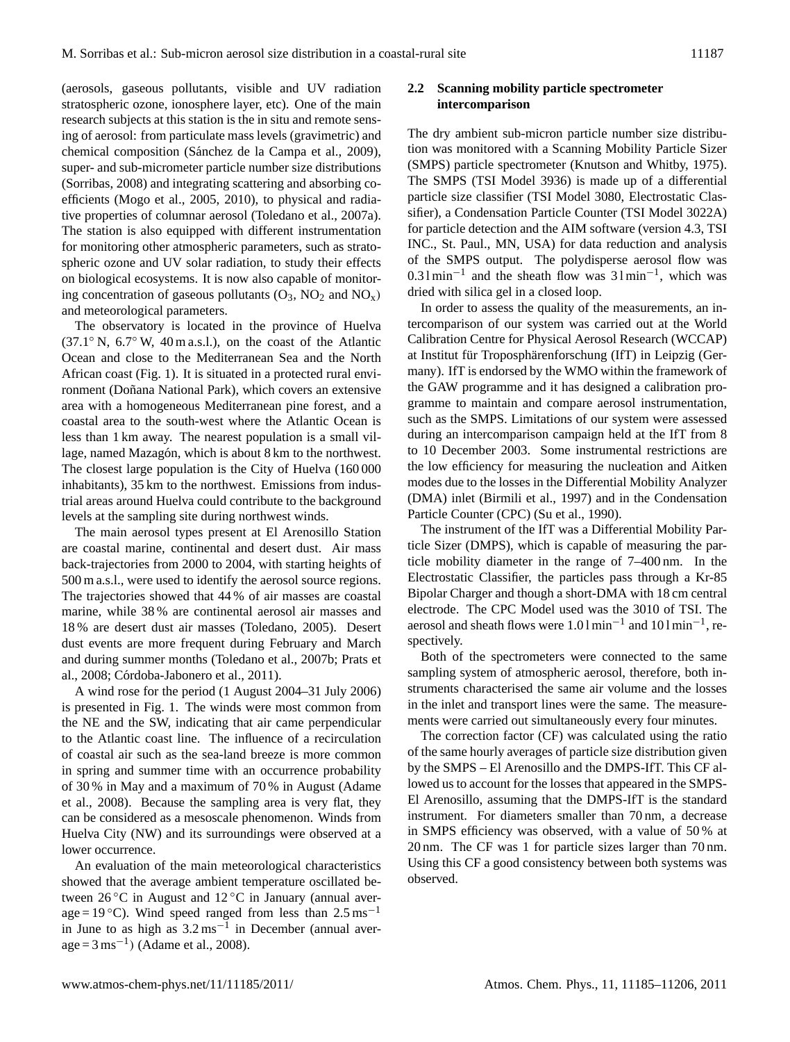(aerosols, gaseous pollutants, visible and UV radiation stratospheric ozone, ionosphere layer, etc). One of the main research subjects at this station is the in situ and remote sensing of aerosol: from particulate mass levels (gravimetric) and chemical composition (Sánchez de la Campa et al., 2009), super- and sub-micrometer particle number size distributions (Sorribas, 2008) and integrating scattering and absorbing coefficients (Mogo et al., 2005, 2010), to physical and radiative properties of columnar aerosol (Toledano et al., 2007a). The station is also equipped with different instrumentation for monitoring other atmospheric parameters, such as stratospheric ozone and UV solar radiation, to study their effects on biological ecosystems. It is now also capable of monitoring concentration of gaseous pollutants  $(O_3, NO_2 \text{ and } NO_x)$ and meteorological parameters.

The observatory is located in the province of Huelva  $(37.1°\text{ N}, 6.7°\text{ W}, 40 \text{ m a.s.}!)$ , on the coast of the Atlantic Ocean and close to the Mediterranean Sea and the North African coast (Fig. 1). It is situated in a protected rural environment (Doñana National Park), which covers an extensive area with a homogeneous Mediterranean pine forest, and a coastal area to the south-west where the Atlantic Ocean is less than 1 km away. The nearest population is a small village, named Mazagón, which is about 8 km to the northwest. The closest large population is the City of Huelva (160 000 inhabitants), 35 km to the northwest. Emissions from industrial areas around Huelva could contribute to the background levels at the sampling site during northwest winds.

The main aerosol types present at El Arenosillo Station are coastal marine, continental and desert dust. Air mass back-trajectories from 2000 to 2004, with starting heights of 500 m a.s.l., were used to identify the aerosol source regions. The trajectories showed that 44 % of air masses are coastal marine, while 38 % are continental aerosol air masses and 18 % are desert dust air masses (Toledano, 2005). Desert dust events are more frequent during February and March and during summer months (Toledano et al., 2007b; Prats et al., 2008; Córdoba-Jabonero et al., 2011).

A wind rose for the period (1 August 2004–31 July 2006) is presented in Fig. 1. The winds were most common from the NE and the SW, indicating that air came perpendicular to the Atlantic coast line. The influence of a recirculation of coastal air such as the sea-land breeze is more common in spring and summer time with an occurrence probability of 30 % in May and a maximum of 70 % in August (Adame et al., 2008). Because the sampling area is very flat, they can be considered as a mesoscale phenomenon. Winds from Huelva City (NW) and its surroundings were observed at a lower occurrence.

An evaluation of the main meteorological characteristics showed that the average ambient temperature oscillated between 26 °C in August and 12 °C in January (annual average = 19 °C). Wind speed ranged from less than  $2.5 \text{ ms}^{-1}$ in June to as high as  $3.2 \text{ ms}^{-1}$  in December (annual aver $age = 3 \text{ ms}^{-1}$ ) (Adame et al., 2008).

# **2.2 Scanning mobility particle spectrometer intercomparison**

The dry ambient sub-micron particle number size distribution was monitored with a Scanning Mobility Particle Sizer (SMPS) particle spectrometer (Knutson and Whitby, 1975). The SMPS (TSI Model 3936) is made up of a differential particle size classifier (TSI Model 3080, Electrostatic Classifier), a Condensation Particle Counter (TSI Model 3022A) for particle detection and the AIM software (version 4.3, TSI INC., St. Paul., MN, USA) for data reduction and analysis of the SMPS output. The polydisperse aerosol flow was  $0.31 \text{min}^{-1}$  and the sheath flow was  $31 \text{min}^{-1}$ , which was dried with silica gel in a closed loop.

In order to assess the quality of the measurements, an intercomparison of our system was carried out at the World Calibration Centre for Physical Aerosol Research (WCCAP) at Institut für Troposphärenforschung (IfT) in Leipzig (Germany). IfT is endorsed by the WMO within the framework of the GAW programme and it has designed a calibration programme to maintain and compare aerosol instrumentation, such as the SMPS. Limitations of our system were assessed during an intercomparison campaign held at the IfT from 8 to 10 December 2003. Some instrumental restrictions are the low efficiency for measuring the nucleation and Aitken modes due to the losses in the Differential Mobility Analyzer (DMA) inlet (Birmili et al., 1997) and in the Condensation Particle Counter (CPC) (Su et al., 1990).

The instrument of the IfT was a Differential Mobility Particle Sizer (DMPS), which is capable of measuring the particle mobility diameter in the range of 7–400 nm. In the Electrostatic Classifier, the particles pass through a Kr-85 Bipolar Charger and though a short-DMA with 18 cm central electrode. The CPC Model used was the 3010 of TSI. The aerosol and sheath flows were  $1.01 \text{min}^{-1}$  and  $101 \text{min}^{-1}$ , respectively.

Both of the spectrometers were connected to the same sampling system of atmospheric aerosol, therefore, both instruments characterised the same air volume and the losses in the inlet and transport lines were the same. The measurements were carried out simultaneously every four minutes.

The correction factor (CF) was calculated using the ratio of the same hourly averages of particle size distribution given by the SMPS – El Arenosillo and the DMPS-IfT. This CF allowed us to account for the losses that appeared in the SMPS-El Arenosillo, assuming that the DMPS-IfT is the standard instrument. For diameters smaller than 70 nm, a decrease in SMPS efficiency was observed, with a value of 50 % at 20 nm. The CF was 1 for particle sizes larger than 70 nm. Using this CF a good consistency between both systems was observed.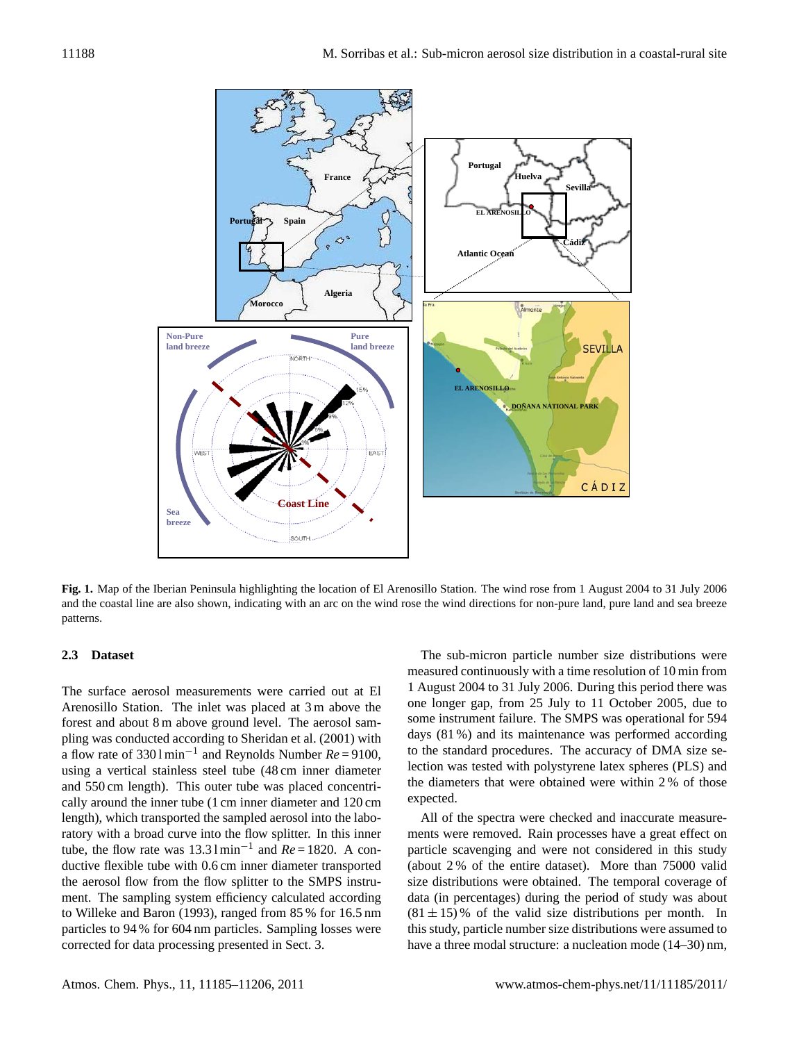

**Fig. 1.** Map of the Iberian Peninsula highlighting the location of El Arenosillo Station. The wind rose from 1 August 2004 to 31 July 2006 and the coastal line are also shown, indicating with an arc on the wind rose the wind directions for non-pure land, pure land and sea breeze patterns.

## **2.3 Dataset**

The surface aerosol measurements were carried out at El Arenosillo Station. The inlet was placed at 3 m above the forest and about 8 m above ground level. The aerosol sampling was conducted according to Sheridan et al. (2001) with a flow rate of 330 l min−<sup>1</sup> and Reynolds Number *Re* = 9100, using a vertical stainless steel tube (48 cm inner diameter and 550 cm length). This outer tube was placed concentrically around the inner tube (1 cm inner diameter and 120 cm length), which transported the sampled aerosol into the laboratory with a broad curve into the flow splitter. In this inner tube, the flow rate was  $13.31 \text{min}^{-1}$  and  $Re = 1820$ . A conductive flexible tube with 0.6 cm inner diameter transported the aerosol flow from the flow splitter to the SMPS instrument. The sampling system efficiency calculated according to Willeke and Baron (1993), ranged from 85 % for 16.5 nm particles to 94 % for 604 nm particles. Sampling losses were corrected for data processing presented in Sect. 3.

The sub-micron particle number size distributions were measured continuously with a time resolution of 10 min from 1 August 2004 to 31 July 2006. During this period there was one longer gap, from 25 July to 11 October 2005, due to some instrument failure. The SMPS was operational for 594 days (81 %) and its maintenance was performed according to the standard procedures. The accuracy of DMA size selection was tested with polystyrene latex spheres (PLS) and the diameters that were obtained were within 2 % of those expected.

All of the spectra were checked and inaccurate measurements were removed. Rain processes have a great effect on particle scavenging and were not considered in this study (about 2 % of the entire dataset). More than 75000 valid size distributions were obtained. The temporal coverage of data (in percentages) during the period of study was about  $(81 \pm 15)$ % of the valid size distributions per month. In this study, particle number size distributions were assumed to have a three modal structure: a nucleation mode  $(14–30)$  nm,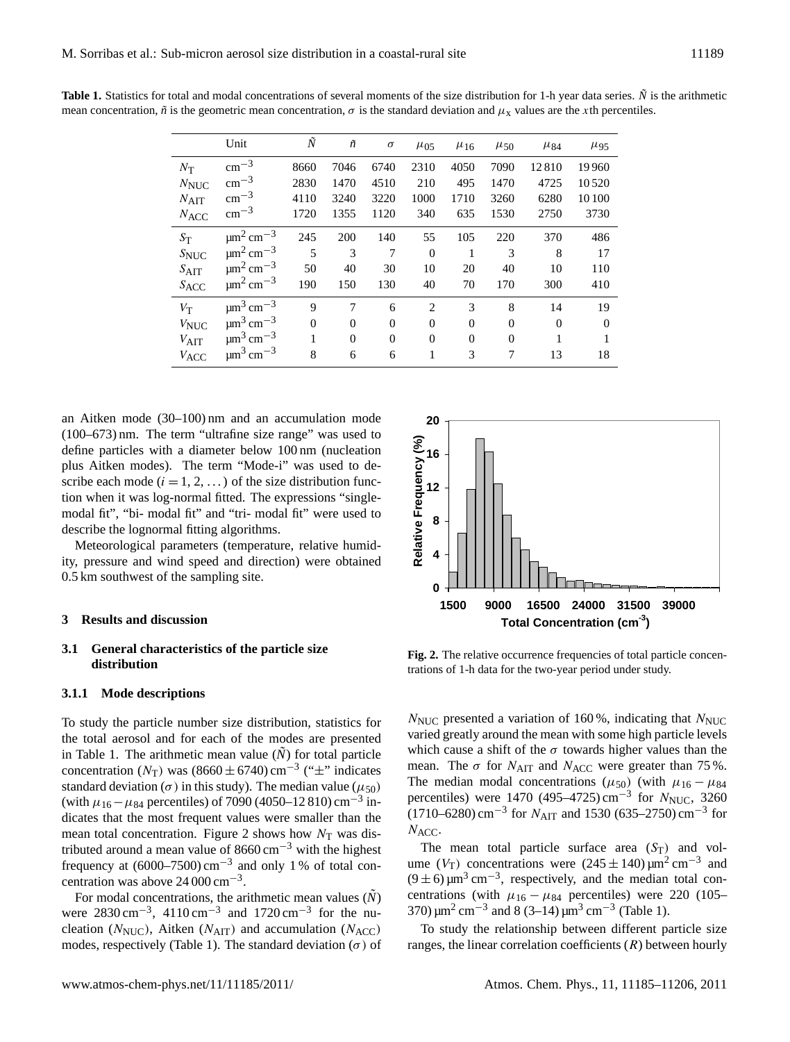|               | Unit                                  | $\tilde{N}$    | $\tilde{n}$ | $\sigma$ | $\mu_{05}$     | $\mu_{16}$ | $\mu_{50}$ | $\mu_{84}$ | $\mu$ 95 |
|---------------|---------------------------------------|----------------|-------------|----------|----------------|------------|------------|------------|----------|
| $N_{\rm T}$   | $\rm cm^{-3}$                         | 8660           | 7046        | 6740     | 2310           | 4050       | 7090       | 12810      | 19960    |
| $N_{\rm NUC}$ | $\rm cm^{-3}$                         | 2830           | 1470        | 4510     | 210            | 495        | 1470       | 4725       | 10520    |
| $N_{\rm AIT}$ | $\rm cm^{-3}$                         | 4110           | 3240        | 3220     | 1000           | 1710       | 3260       | 6280       | 10 100   |
| $N_{\rm ACC}$ | $\rm cm^{-3}$                         | 1720           | 1355        | 1120     | 340            | 635        | 1530       | 2750       | 3730     |
| $S_{\rm T}$   | $\mu$ m <sup>2</sup> cm <sup>-3</sup> | 245            | 200         | 140      | 55             | 105        | 220        | 370        | 486      |
| $S_{\rm NUC}$ | $\mu$ m <sup>2</sup> cm <sup>-3</sup> | 5              | 3           | 7        | $\overline{0}$ | 1          | 3          | 8          | 17       |
| $S_{\rm AIT}$ | $\mu$ m <sup>2</sup> cm <sup>-3</sup> | 50             | 40          | 30       | 10             | 20         | 40         | 10         | 110      |
| $S_{ACC}$     | $\mu$ m <sup>2</sup> cm <sup>-3</sup> | 190            | 150         | 130      | 40             | 70         | 170        | 300        | 410      |
| $V_{\rm T}$   | $\mu$ m <sup>3</sup> cm <sup>-3</sup> | 9              | 7           | 6        | $\overline{c}$ | 3          | 8          | 14         | 19       |
| $V_{\rm NUC}$ | $\mu$ m <sup>3</sup> cm <sup>-3</sup> | $\overline{0}$ | $\Omega$    | $\theta$ | $\overline{0}$ | $\Omega$   | $\Omega$   | $\Omega$   | $\Omega$ |
| $V_{\rm AIT}$ | $\mu$ m <sup>3</sup> cm <sup>-3</sup> | 1              | $\Omega$    | $\theta$ | $\Omega$       | $\Omega$   | $\Omega$   |            |          |
| $V_{ACC}$     | $\mu$ m <sup>3</sup> cm <sup>-3</sup> | 8              | 6           | 6        | 1              | 3          | 7          | 13         | 18       |

**Table 1.** Statistics for total and modal concentrations of several moments of the size distribution for 1-h year data series.  $\tilde{N}$  is the arithmetic mean concentration,  $\tilde{n}$  is the geometric mean concentration,  $\sigma$  is the standard deviation and  $\mu_X$  values are the xth percentiles.

an Aitken mode (30–100) nm and an accumulation mode (100–673) nm. The term "ultrafine size range" was used to define particles with a diameter below 100 nm (nucleation plus Aitken modes). The term "Mode-i" was used to describe each mode  $(i = 1, 2, ...)$  of the size distribution function when it was log-normal fitted. The expressions "singlemodal fit", "bi- modal fit" and "tri- modal fit" were used to describe the lognormal fitting algorithms.

Meteorological parameters (temperature, relative humidity, pressure and wind speed and direction) were obtained 0.5 km southwest of the sampling site.

## **3 Results and discussion**

# **3.1 General characteristics of the particle size distribution**

## **3.1.1 Mode descriptions**

To study the particle number size distribution, statistics for the total aerosol and for each of the modes are presented in Table 1. The arithmetic mean value  $(N)$  for total particle concentration ( $N_T$ ) was (8660 ± 6740) cm<sup>-3</sup> (" $\pm$ " indicates standard deviation ( $\sigma$ ) in this study). The median value ( $\mu_{50}$ ) (with  $\mu_{16} - \mu_{84}$  percentiles) of 7090 (4050–12 810) cm<sup>-3</sup> indicates that the most frequent values were smaller than the mean total concentration. Figure 2 shows how  $N<sub>T</sub>$  was distributed around a mean value of  $8660 \text{ cm}^{-3}$  with the highest frequency at  $(6000-7500)$  cm<sup>-3</sup> and only 1% of total concentration was above 24 000 cm−<sup>3</sup> .

For modal concentrations, the arithmetic mean values  $(N)$ were 2830 cm<sup>-3</sup>, 4110 cm<sup>-3</sup> and 1720 cm<sup>-3</sup> for the nucleation ( $N_{\text{NUC}}$ ), Aitken ( $N_{\text{AIT}}$ ) and accumulation ( $N_{\text{ACC}}$ ) modes, respectively (Table 1). The standard deviation  $(\sigma)$  of



**Fig. 2.** The relative occurrence frequencies of total particle concentrations of 1-h data for the two-year period under study.

 $N_{\text{NUC}}$  presented a variation of 160%, indicating that  $N_{\text{NUC}}$ varied greatly around the mean with some high particle levels which cause a shift of the  $\sigma$  towards higher values than the mean. The  $\sigma$  for  $N_{\text{AIT}}$  and  $N_{\text{ACC}}$  were greater than 75%. The median modal concentrations ( $\mu_{50}$ ) (with  $\mu_{16} - \mu_{84}$ percentiles) were 1470 (495–4725) cm<sup>-3</sup> for  $N_{\text{NUC}}$ , 3260  $(1710-6280)$  cm<sup>-3</sup> for  $N_{\text{AIT}}$  and 1530 (635–2750) cm<sup>-3</sup> for N<sub>ACC</sub>.

The mean total particle surface area  $(S_T)$  and volume  $(V_T)$  concentrations were  $(245 \pm 140)$  µm<sup>2</sup> cm<sup>-3</sup> and  $(9 \pm 6)$  µm<sup>3</sup> cm<sup>-3</sup>, respectively, and the median total concentrations (with  $\mu_{16} - \mu_{84}$  percentiles) were 220 (105– 370)  $\mu$ m<sup>2</sup> cm<sup>-3</sup> and 8 (3-14)  $\mu$ m<sup>3</sup> cm<sup>-3</sup> (Table 1).

To study the relationship between different particle size ranges, the linear correlation coefficients  $(R)$  between hourly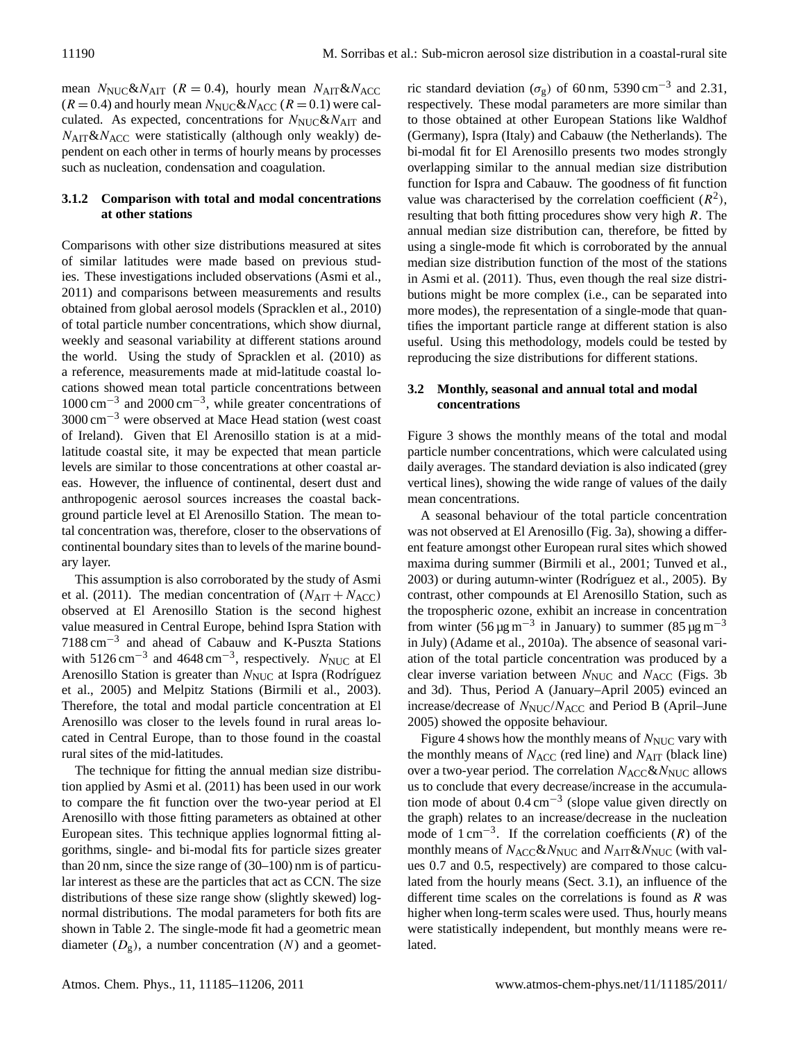mean  $N_{\text{NUC}} \& N_{\text{AIT}}$  ( $R = 0.4$ ), hourly mean  $N_{\text{AIT}} \& N_{\text{ACC}}$  $(R = 0.4)$  and hourly mean  $N_{\text{NUC}} \& N_{\text{ACC}}$   $(R = 0.1)$  were calculated. As expected, concentrations for  $N_{\text{NUC}} \& N_{\text{AIT}}$  and  $N_{\text{AIT}} \& N_{\text{ACC}}$  were statistically (although only weakly) dependent on each other in terms of hourly means by processes such as nucleation, condensation and coagulation.

# **3.1.2 Comparison with total and modal concentrations at other stations**

Comparisons with other size distributions measured at sites of similar latitudes were made based on previous studies. These investigations included observations (Asmi et al., 2011) and comparisons between measurements and results obtained from global aerosol models (Spracklen et al., 2010) of total particle number concentrations, which show diurnal, weekly and seasonal variability at different stations around the world. Using the study of Spracklen et al. (2010) as a reference, measurements made at mid-latitude coastal locations showed mean total particle concentrations between 1000 cm−<sup>3</sup> and 2000 cm−<sup>3</sup> , while greater concentrations of 3000 cm−<sup>3</sup> were observed at Mace Head station (west coast of Ireland). Given that El Arenosillo station is at a midlatitude coastal site, it may be expected that mean particle levels are similar to those concentrations at other coastal areas. However, the influence of continental, desert dust and anthropogenic aerosol sources increases the coastal background particle level at El Arenosillo Station. The mean total concentration was, therefore, closer to the observations of continental boundary sites than to levels of the marine boundary layer.

This assumption is also corroborated by the study of Asmi et al. (2011). The median concentration of  $(N_{\text{AIT}} + N_{\text{ACC}})$ observed at El Arenosillo Station is the second highest value measured in Central Europe, behind Ispra Station with 7188 cm−<sup>3</sup> and ahead of Cabauw and K-Puszta Stations with 5126 cm<sup>-3</sup> and 4648 cm<sup>-3</sup>, respectively. N<sub>NUC</sub> at El Arenosillo Station is greater than  $N_{\text{NUC}}$  at Ispra (Rodríguez et al., 2005) and Melpitz Stations (Birmili et al., 2003). Therefore, the total and modal particle concentration at El Arenosillo was closer to the levels found in rural areas located in Central Europe, than to those found in the coastal rural sites of the mid-latitudes.

The technique for fitting the annual median size distribution applied by Asmi et al. (2011) has been used in our work to compare the fit function over the two-year period at El Arenosillo with those fitting parameters as obtained at other European sites. This technique applies lognormal fitting algorithms, single- and bi-modal fits for particle sizes greater than 20 nm, since the size range of (30–100) nm is of particular interest as these are the particles that act as CCN. The size distributions of these size range show (slightly skewed) lognormal distributions. The modal parameters for both fits are shown in Table 2. The single-mode fit had a geometric mean diameter  $(D_g)$ , a number concentration  $(N)$  and a geomet-

ric standard deviation ( $\sigma$ <sub>g</sub>) of 60 nm, 5390 cm<sup>-3</sup> and 2.31, respectively. These modal parameters are more similar than to those obtained at other European Stations like Waldhof (Germany), Ispra (Italy) and Cabauw (the Netherlands). The bi-modal fit for El Arenosillo presents two modes strongly overlapping similar to the annual median size distribution function for Ispra and Cabauw. The goodness of fit function value was characterised by the correlation coefficient  $(R^2)$ , resulting that both fitting procedures show very high R. The annual median size distribution can, therefore, be fitted by using a single-mode fit which is corroborated by the annual median size distribution function of the most of the stations in Asmi et al. (2011). Thus, even though the real size distributions might be more complex (i.e., can be separated into more modes), the representation of a single-mode that quantifies the important particle range at different station is also useful. Using this methodology, models could be tested by reproducing the size distributions for different stations.

# **3.2 Monthly, seasonal and annual total and modal concentrations**

Figure 3 shows the monthly means of the total and modal particle number concentrations, which were calculated using daily averages. The standard deviation is also indicated (grey vertical lines), showing the wide range of values of the daily mean concentrations.

A seasonal behaviour of the total particle concentration was not observed at El Arenosillo (Fig. 3a), showing a different feature amongst other European rural sites which showed maxima during summer (Birmili et al., 2001; Tunved et al., 2003) or during autumn-winter (Rodríguez et al., 2005). By contrast, other compounds at El Arenosillo Station, such as the tropospheric ozone, exhibit an increase in concentration from winter (56  $\mu$ g m<sup>-3</sup> in January) to summer (85  $\mu$ g m<sup>-3</sup> in July) (Adame et al., 2010a). The absence of seasonal variation of the total particle concentration was produced by a clear inverse variation between  $N_{\text{NUC}}$  and  $N_{\text{ACC}}$  (Figs. 3b) and 3d). Thus, Period A (January–April 2005) evinced an increase/decrease of  $N_{\text{NUC}}/N_{\text{ACC}}$  and Period B (April–June 2005) showed the opposite behaviour.

Figure 4 shows how the monthly means of  $N_{\text{NUC}}$  vary with the monthly means of  $N_{\text{ACC}}$  (red line) and  $N_{\text{AIT}}$  (black line) over a two-year period. The correlation  $N_{\text{ACC}} \& N_{\text{NUC}}$  allows us to conclude that every decrease/increase in the accumulation mode of about  $0.4 \text{ cm}^{-3}$  (slope value given directly on the graph) relates to an increase/decrease in the nucleation mode of  $1 \text{ cm}^{-3}$ . If the correlation coefficients (R) of the monthly means of  $N_{\text{ACC}} \& N_{\text{NUC}}$  and  $N_{\text{AIT}} \& N_{\text{NUC}}$  (with values 0.7 and 0.5, respectively) are compared to those calculated from the hourly means (Sect. 3.1), an influence of the different time scales on the correlations is found as  $R$  was higher when long-term scales were used. Thus, hourly means were statistically independent, but monthly means were related.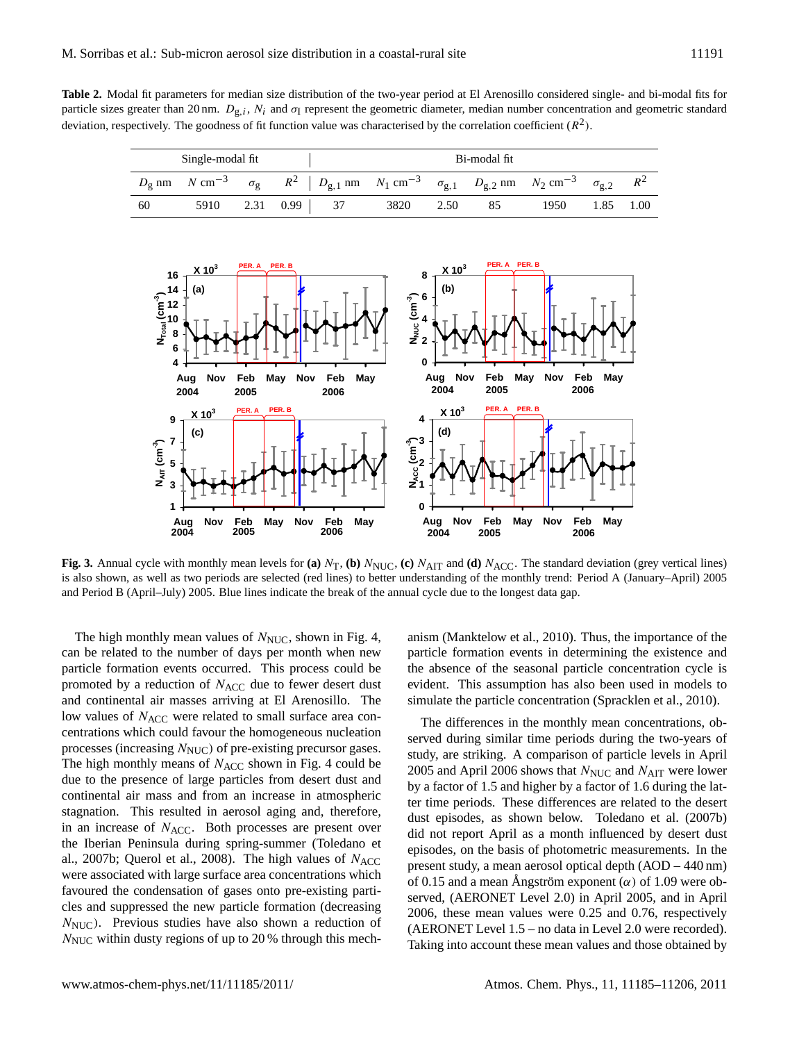**Table 2.** Modal fit parameters for median size distribution of the two-year period at El Arenosillo considered single- and bi-modal fits for particle sizes greater than 20 nm.  $D_{g,i}$ ,  $N_i$  and  $\sigma_I$  represent the geometric diameter, median number concentration and geometric standard deviation, respectively. The goodness of fit function value was characterised by the correlation coefficient  $(R^2)$ .

|     | Single-modal fit |                   | Bi-modal fit |                                                                                                                                                   |      |    |      |      |      |  |
|-----|------------------|-------------------|--------------|---------------------------------------------------------------------------------------------------------------------------------------------------|------|----|------|------|------|--|
|     |                  |                   |              | $D_g$ nm $N \text{ cm}^{-3}$ $\sigma_g$ $R^2   D_{g,1}$ nm $N_1 \text{ cm}^{-3}$ $\sigma_{g,1}$ $D_{g,2}$ nm $N_2 \text{ cm}^{-3}$ $\sigma_{g,2}$ |      |    |      |      |      |  |
| -60 | 5910             | $2.31 \quad 0.99$ |              | 3820                                                                                                                                              | 2.50 | 85 | 1950 | 1.85 | 1.00 |  |



**Fig. 3.** Annual cycle with monthly mean levels for (a)  $N_T$ , (b)  $N_{\text{NUC}}$ , (c)  $N_{\text{AIT}}$  and (d)  $N_{\text{ACC}}$ . The standard deviation (grey vertical lines) is also shown, as well as two periods are selected (red lines) to better understanding of the monthly trend: Period A (January–April) 2005 and Period B (April–July) 2005. Blue lines indicate the break of the annual cycle due to the longest data gap.

The high monthly mean values of  $N_{\rm NUC}$ , shown in Fig. 4, can be related to the number of days per month when new particle formation events occurred. This process could be promoted by a reduction of  $N_{\text{ACC}}$  due to fewer desert dust and continental air masses arriving at El Arenosillo. The low values of  $N<sub>ACC</sub>$  were related to small surface area concentrations which could favour the homogeneous nucleation processes (increasing  $N_{\text{NUC}}$ ) of pre-existing precursor gases. The high monthly means of  $N_{\text{ACC}}$  shown in Fig. 4 could be due to the presence of large particles from desert dust and continental air mass and from an increase in atmospheric stagnation. This resulted in aerosol aging and, therefore, in an increase of  $N_{\text{ACC}}$ . Both processes are present over the Iberian Peninsula during spring-summer (Toledano et al., 2007b; Querol et al., 2008). The high values of  $N_{\text{ACC}}$ were associated with large surface area concentrations which favoured the condensation of gases onto pre-existing particles and suppressed the new particle formation (decreasing  $N_{\text{NUC}}$ ). Previous studies have also shown a reduction of  $N_{\text{NUC}}$  within dusty regions of up to 20 % through this mechanism (Manktelow et al., 2010). Thus, the importance of the particle formation events in determining the existence and the absence of the seasonal particle concentration cycle is evident. This assumption has also been used in models to simulate the particle concentration (Spracklen et al., 2010).

The differences in the monthly mean concentrations, observed during similar time periods during the two-years of study, are striking. A comparison of particle levels in April 2005 and April 2006 shows that  $N_{\text{NUC}}$  and  $N_{\text{AIT}}$  were lower by a factor of 1.5 and higher by a factor of 1.6 during the latter time periods. These differences are related to the desert dust episodes, as shown below. Toledano et al. (2007b) did not report April as a month influenced by desert dust episodes, on the basis of photometric measurements. In the present study, a mean aerosol optical depth (AOD – 440 nm) of 0.15 and a mean Angström exponent  $(\alpha)$  of 1.09 were observed, (AERONET Level 2.0) in April 2005, and in April 2006, these mean values were 0.25 and 0.76, respectively (AERONET Level 1.5 – no data in Level 2.0 were recorded). Taking into account these mean values and those obtained by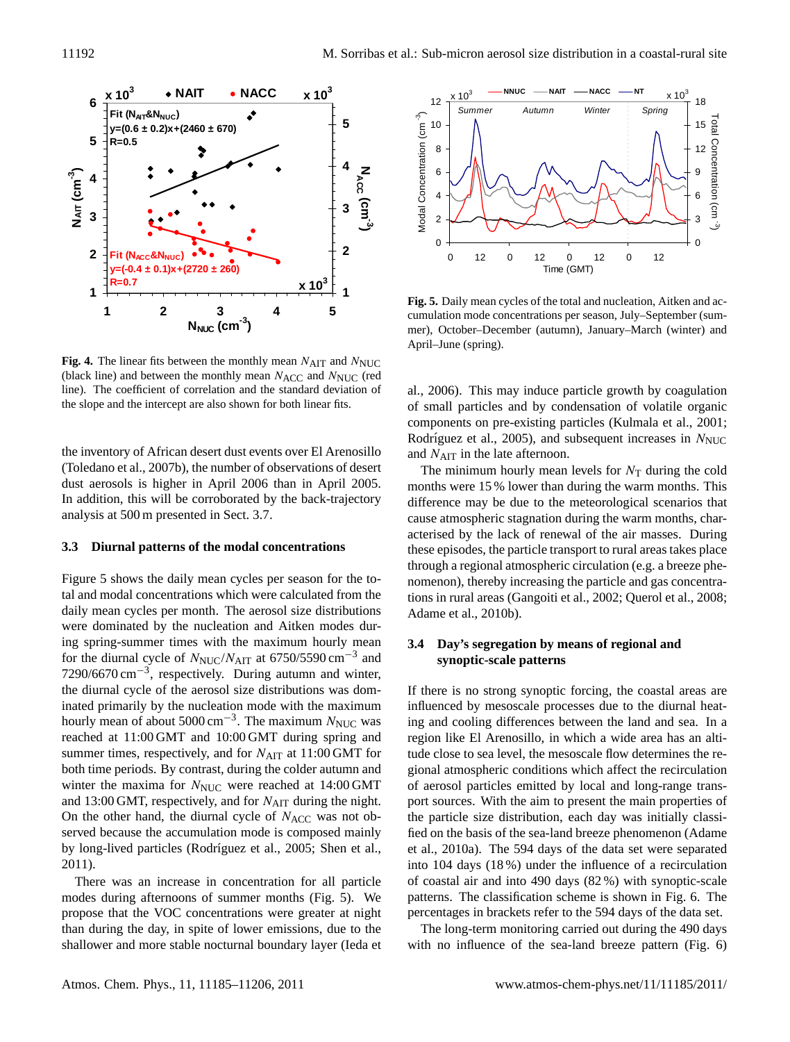

**Fig. 4.** The linear fits between the monthly mean  $N_{\text{AIT}}$  and  $N_{\text{NUC}}$ (black line) and between the monthly mean  $N_{\text{ACC}}$  and  $N_{\text{NUC}}$  (red line). The coefficient of correlation and the standard deviation of the slope and the intercept are also shown for both linear fits.

the inventory of African desert dust events over El Arenosillo (Toledano et al., 2007b), the number of observations of desert dust aerosols is higher in April 2006 than in April 2005. In addition, this will be corroborated by the back-trajectory analysis at 500 m presented in Sect. 3.7.

### **3.3 Diurnal patterns of the modal concentrations**

Figure 5 shows the daily mean cycles per season for the total and modal concentrations which were calculated from the daily mean cycles per month. The aerosol size distributions were dominated by the nucleation and Aitken modes during spring-summer times with the maximum hourly mean for the diurnal cycle of  $N_{\text{NUC}}/N_{\text{AIT}}$  at 6750/5590 cm<sup>-3</sup> and  $7290/6670 \text{ cm}^{-3}$ , respectively. During autumn and winter, the diurnal cycle of the aerosol size distributions was dominated primarily by the nucleation mode with the maximum hourly mean of about 5000 cm<sup>-3</sup>. The maximum  $N_{\text{NUC}}$  was reached at 11:00 GMT and 10:00 GMT during spring and summer times, respectively, and for  $N_{\text{AIT}}$  at 11:00 GMT for both time periods. By contrast, during the colder autumn and winter the maxima for  $N_{\text{NUC}}$  were reached at 14:00 GMT and 13:00 GMT, respectively, and for  $N_{\text{AIT}}$  during the night. On the other hand, the diurnal cycle of  $N_{ACC}$  was not observed because the accumulation mode is composed mainly by long-lived particles (Rodríguez et al., 2005; Shen et al., 2011).

There was an increase in concentration for all particle modes during afternoons of summer months (Fig. 5). We propose that the VOC concentrations were greater at night than during the day, in spite of lower emissions, due to the shallower and more stable nocturnal boundary layer (Ieda et



**Fig. 5.** Daily mean cycles of the total and nucleation, Aitken and accumulation mode concentrations per season, July–September (summer), October–December (autumn), January–March (winter) and April–June (spring).

al., 2006). This may induce particle growth by coagulation of small particles and by condensation of volatile organic components on pre-existing particles (Kulmala et al., 2001; Rodríguez et al., 2005), and subsequent increases in  $N_{\text{NUC}}$ and  $N_{\text{AIT}}$  in the late afternoon.

The minimum hourly mean levels for  $N<sub>T</sub>$  during the cold months were 15 % lower than during the warm months. This difference may be due to the meteorological scenarios that cause atmospheric stagnation during the warm months, characterised by the lack of renewal of the air masses. During these episodes, the particle transport to rural areas takes place through a regional atmospheric circulation (e.g. a breeze phenomenon), thereby increasing the particle and gas concentrations in rural areas (Gangoiti et al., 2002; Querol et al., 2008; Adame et al., 2010b).

# **3.4 Day's segregation by means of regional and synoptic-scale patterns**

If there is no strong synoptic forcing, the coastal areas are influenced by mesoscale processes due to the diurnal heating and cooling differences between the land and sea. In a region like El Arenosillo, in which a wide area has an altitude close to sea level, the mesoscale flow determines the regional atmospheric conditions which affect the recirculation of aerosol particles emitted by local and long-range transport sources. With the aim to present the main properties of the particle size distribution, each day was initially classified on the basis of the sea-land breeze phenomenon (Adame et al., 2010a). The 594 days of the data set were separated into 104 days (18 %) under the influence of a recirculation of coastal air and into 490 days (82 %) with synoptic-scale patterns. The classification scheme is shown in Fig. 6. The percentages in brackets refer to the 594 days of the data set.

The long-term monitoring carried out during the 490 days with no influence of the sea-land breeze pattern (Fig. 6)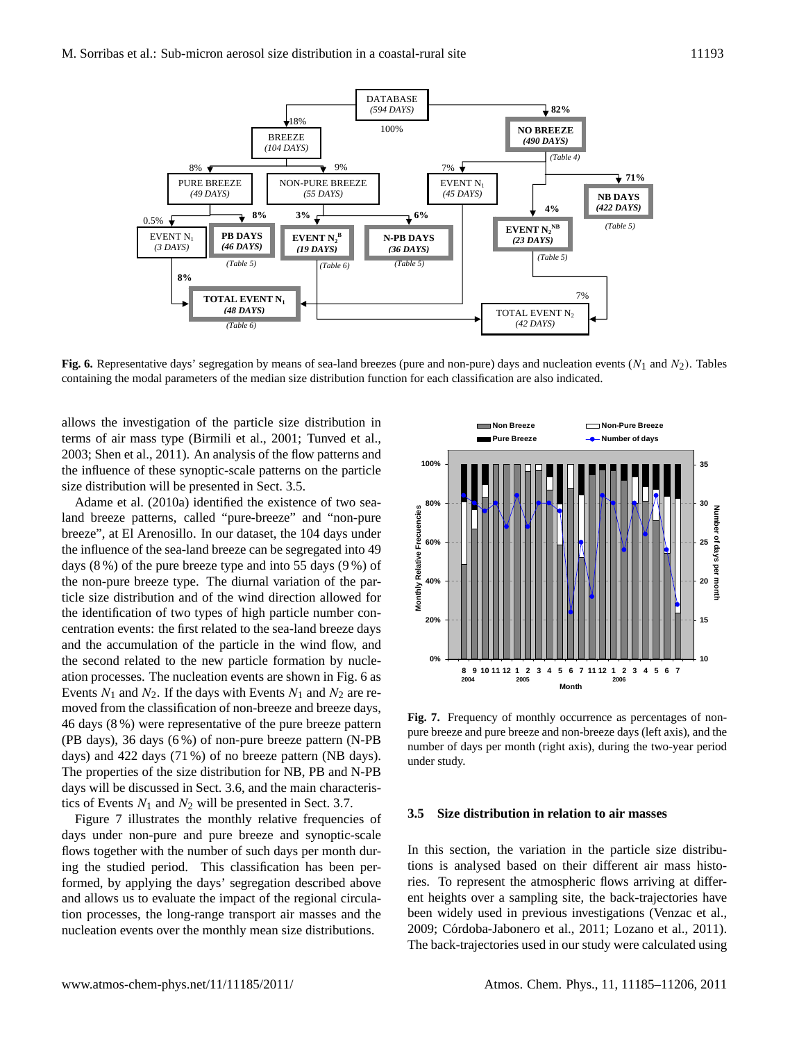

**Fig. 6.** Representative days' segregation by means of sea-land breezes (pure and non-pure) days and nucleation events  $(N_1$  and  $N_2)$ . Tables containing the modal parameters of the median size distribution function for each classification are also indicated.

allows the investigation of the particle size distribution in terms of air mass type (Birmili et al., 2001; Tunved et al., 2003; Shen et al., 2011). An analysis of the flow patterns and the influence of these synoptic-scale patterns on the particle size distribution will be presented in Sect. 3.5.

Adame et al. (2010a) identified the existence of two sealand breeze patterns, called "pure-breeze" and "non-pure breeze", at El Arenosillo. In our dataset, the 104 days under the influence of the sea-land breeze can be segregated into 49 days (8 %) of the pure breeze type and into 55 days (9 %) of the non-pure breeze type. The diurnal variation of the particle size distribution and of the wind direction allowed for the identification of two types of high particle number concentration events: the first related to the sea-land breeze days and the accumulation of the particle in the wind flow, and the second related to the new particle formation by nucleation processes. The nucleation events are shown in Fig. 6 as Events  $N_1$  and  $N_2$ . If the days with Events  $N_1$  and  $N_2$  are removed from the classification of non-breeze and breeze days, 46 days (8 %) were representative of the pure breeze pattern (PB days), 36 days (6 %) of non-pure breeze pattern (N-PB days) and 422 days (71 %) of no breeze pattern (NB days). The properties of the size distribution for NB, PB and N-PB days will be discussed in Sect. 3.6, and the main characteristics of Events  $N_1$  and  $N_2$  will be presented in Sect. 3.7.

Figure 7 illustrates the monthly relative frequencies of days under non-pure and pure breeze and synoptic-scale flows together with the number of such days per month during the studied period. This classification has been performed, by applying the days' segregation described above and allows us to evaluate the impact of the regional circulation processes, the long-range transport air masses and the nucleation events over the monthly mean size distributions.



**Fig. 7.** Frequency of monthly occurrence as percentages of nonpure breeze and pure breeze and non-breeze days (left axis), and the number of days per month (right axis), during the two-year period under study.

## **3.5 Size distribution in relation to air masses**

In this section, the variation in the particle size distributions is analysed based on their different air mass histories. To represent the atmospheric flows arriving at different heights over a sampling site, the back-trajectories have been widely used in previous investigations (Venzac et al., 2009; Córdoba-Jabonero et al., 2011; Lozano et al., 2011). The back-trajectories used in our study were calculated using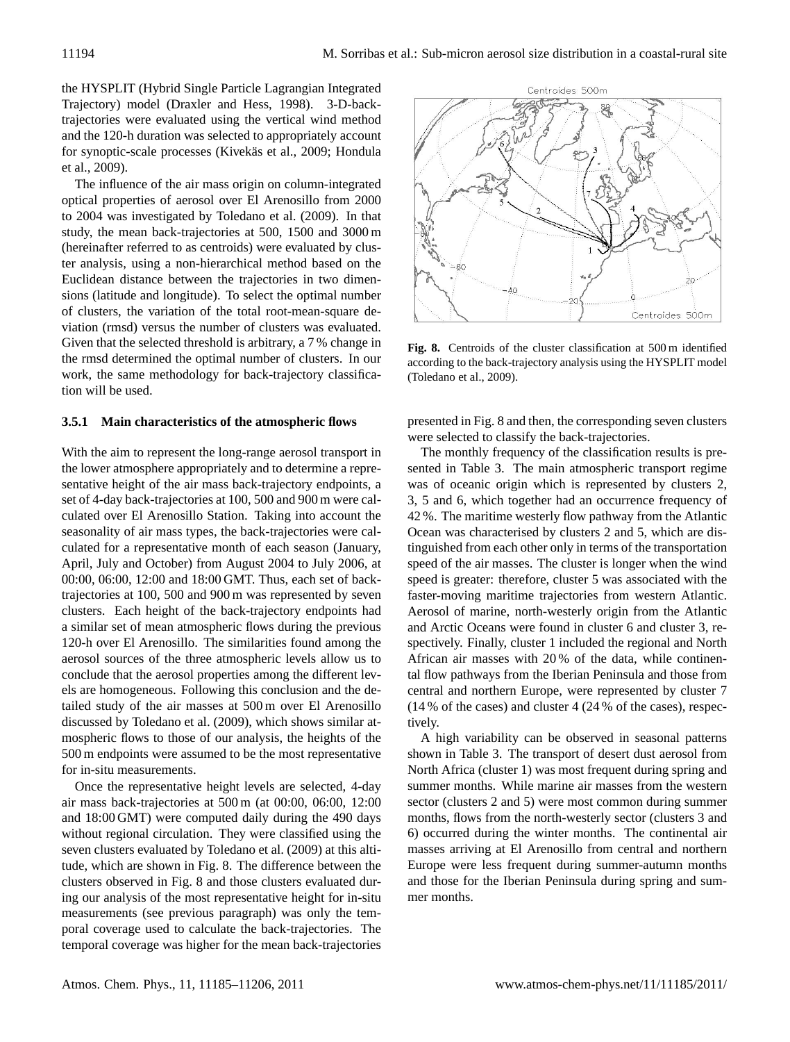the HYSPLIT (Hybrid Single Particle Lagrangian Integrated Trajectory) model (Draxler and Hess, 1998). 3-D-backtrajectories were evaluated using the vertical wind method and the 120-h duration was selected to appropriately account for synoptic-scale processes (Kivekäs et al., 2009; Hondula et al., 2009).

The influence of the air mass origin on column-integrated optical properties of aerosol over El Arenosillo from 2000 to 2004 was investigated by Toledano et al. (2009). In that study, the mean back-trajectories at 500, 1500 and 3000 m (hereinafter referred to as centroids) were evaluated by cluster analysis, using a non-hierarchical method based on the Euclidean distance between the trajectories in two dimensions (latitude and longitude). To select the optimal number of clusters, the variation of the total root-mean-square deviation (rmsd) versus the number of clusters was evaluated. Given that the selected threshold is arbitrary, a 7 % change in the rmsd determined the optimal number of clusters. In our work, the same methodology for back-trajectory classification will be used.

## **3.5.1 Main characteristics of the atmospheric flows**

With the aim to represent the long-range aerosol transport in the lower atmosphere appropriately and to determine a representative height of the air mass back-trajectory endpoints, a set of 4-day back-trajectories at 100, 500 and 900 m were calculated over El Arenosillo Station. Taking into account the seasonality of air mass types, the back-trajectories were calculated for a representative month of each season (January, April, July and October) from August 2004 to July 2006, at 00:00, 06:00, 12:00 and 18:00 GMT. Thus, each set of backtrajectories at 100, 500 and 900 m was represented by seven clusters. Each height of the back-trajectory endpoints had a similar set of mean atmospheric flows during the previous 120-h over El Arenosillo. The similarities found among the aerosol sources of the three atmospheric levels allow us to conclude that the aerosol properties among the different levels are homogeneous. Following this conclusion and the detailed study of the air masses at 500 m over El Arenosillo discussed by Toledano et al. (2009), which shows similar atmospheric flows to those of our analysis, the heights of the 500 m endpoints were assumed to be the most representative for in-situ measurements.

Once the representative height levels are selected, 4-day air mass back-trajectories at 500 m (at 00:00, 06:00, 12:00 and 18:00 GMT) were computed daily during the 490 days without regional circulation. They were classified using the seven clusters evaluated by Toledano et al. (2009) at this altitude, which are shown in Fig. 8. The difference between the clusters observed in Fig. 8 and those clusters evaluated during our analysis of the most representative height for in-situ measurements (see previous paragraph) was only the temporal coverage used to calculate the back-trajectories. The temporal coverage was higher for the mean back-trajectories

presented in Fig. 8 and then, the corresponding seven clusters were selected to classify the back-trajectories.

**Fig. 8.** Centroids of the cluster classification at 500 m identified according to the back-trajectory analysis using the HYSPLIT model

(Toledano et al., 2009).

The monthly frequency of the classification results is presented in Table 3. The main atmospheric transport regime was of oceanic origin which is represented by clusters 2, 3, 5 and 6, which together had an occurrence frequency of 42 %. The maritime westerly flow pathway from the Atlantic Ocean was characterised by clusters 2 and 5, which are distinguished from each other only in terms of the transportation speed of the air masses. The cluster is longer when the wind speed is greater: therefore, cluster 5 was associated with the faster-moving maritime trajectories from western Atlantic. Aerosol of marine, north-westerly origin from the Atlantic and Arctic Oceans were found in cluster 6 and cluster 3, respectively. Finally, cluster 1 included the regional and North African air masses with 20 % of the data, while continental flow pathways from the Iberian Peninsula and those from central and northern Europe, were represented by cluster 7 (14 % of the cases) and cluster 4 (24 % of the cases), respectively.

A high variability can be observed in seasonal patterns shown in Table 3. The transport of desert dust aerosol from North Africa (cluster 1) was most frequent during spring and summer months. While marine air masses from the western sector (clusters 2 and 5) were most common during summer months, flows from the north-westerly sector (clusters 3 and 6) occurred during the winter months. The continental air masses arriving at El Arenosillo from central and northern Europe were less frequent during summer-autumn months and those for the Iberian Peninsula during spring and summer months.

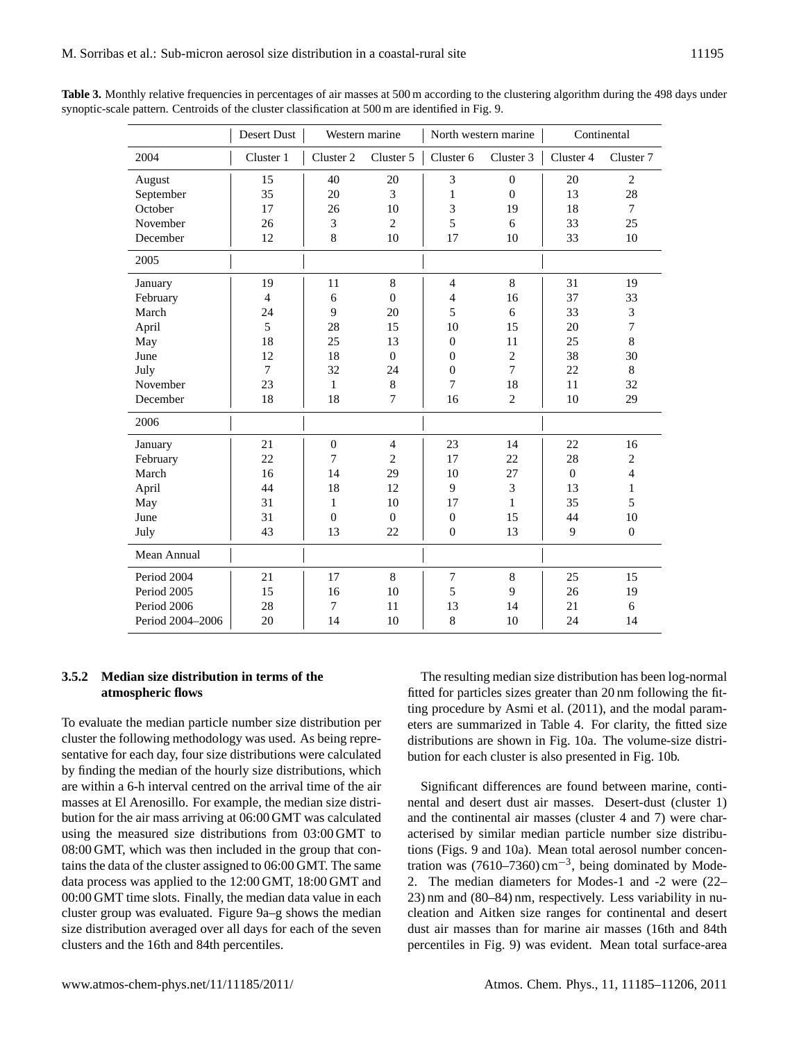|                  | Desert Dust    |                | Western marine |                      | North western marine | Continental      |                |  |
|------------------|----------------|----------------|----------------|----------------------|----------------------|------------------|----------------|--|
| 2004             | Cluster 1      | Cluster 2      | Cluster 5      | Cluster <sub>6</sub> | Cluster 3            | Cluster 4        | Cluster 7      |  |
| August           | 15             | 40             | 20             | 3                    | $\mathbf{0}$         | 20               | $\overline{c}$ |  |
| September        | 35             | 20             | $\overline{3}$ | 1                    | $\overline{0}$       | 13               | 28             |  |
| October          | 17             | 26             | 10             | 3                    | 19                   | 18               | $\tau$         |  |
| November         | 26             | 3              | 2              | 5                    | 6                    | 33               | 25             |  |
| December         | 12             | 8              | 10             | 17                   | 10                   | 33               | 10             |  |
| 2005             |                |                |                |                      |                      |                  |                |  |
| January          | 19             | 11             | 8              | $\overline{4}$       | 8                    | 31               | 19             |  |
| February         | $\overline{4}$ | 6              | $\mathbf{0}$   | $\overline{4}$       | 16                   | 37               | 33             |  |
| March            | 24             | 9              | 20             | 5                    | 6                    | 33               | 3              |  |
| April            | 5              | 28             | 15             | 10                   | 15                   | 20               | 7              |  |
| May              | 18             | 25             | 13             | $\overline{0}$       | 11                   | 25               | 8              |  |
| June             | 12             | 18             | $\Omega$       | $\theta$             | $\overline{2}$       | 38               | 30             |  |
| July             | $\tau$         | 32             | 24             | $\overline{0}$       | 7                    | 22               | 8              |  |
| November         | 23             | $\mathbf{1}$   | $8\,$          | $\overline{7}$       | 18                   | 11               | 32             |  |
| December         | 18             | 18             | $\overline{7}$ | 16                   | $\overline{2}$       | 10               | 29             |  |
| 2006             |                |                |                |                      |                      |                  |                |  |
| January          | 21             | $\overline{0}$ | $\overline{4}$ | 23                   | 14                   | 22               | 16             |  |
| February         | 22             | $\overline{7}$ | $\overline{2}$ | 17                   | 22                   | 28               | $\overline{c}$ |  |
| March            | 16             | 14             | 29             | 10                   | 27                   | $\boldsymbol{0}$ | $\overline{4}$ |  |
| April            | 44             | 18             | 12             | 9                    | 3                    | 13               | $\mathbf{1}$   |  |
| May              | 31             | $\mathbf{1}$   | 10             | 17                   | $\mathbf{1}$         | 35               | 5              |  |
| June             | 31             | $\theta$       | $\Omega$       | $\overline{0}$       | 15                   | 44               | 10             |  |
| July             | 43             | 13             | 22             | $\theta$             | 13                   | 9                | $\overline{0}$ |  |
| Mean Annual      |                |                |                |                      |                      |                  |                |  |
| Period 2004      | 21             | 17             | 8              | $\tau$               | 8                    | 25               | 15             |  |
| Period 2005      | 15             | 16             | 10             | 5                    | 9                    | 26               | 19             |  |
| Period 2006      | 28             | 7              | 11             | 13                   | 14                   | 21               | 6              |  |
| Period 2004-2006 | 20             | 14             | 10             | 8                    | 10                   | 24               | 14             |  |

Table 3. Monthly relative frequencies in percentages of air masses at 500 m according to the clustering algorithm during the 498 days under synoptic-scale pattern. Centroids of the cluster classification at 500 m are identified in Fig. 9.

# **3.5.2 Median size distribution in terms of the atmospheric flows**

To evaluate the median particle number size distribution per cluster the following methodology was used. As being representative for each day, four size distributions were calculated by finding the median of the hourly size distributions, which are within a 6-h interval centred on the arrival time of the air masses at El Arenosillo. For example, the median size distribution for the air mass arriving at 06:00 GMT was calculated using the measured size distributions from 03:00 GMT to 08:00 GMT, which was then included in the group that contains the data of the cluster assigned to 06:00 GMT. The same data process was applied to the 12:00 GMT, 18:00 GMT and 00:00 GMT time slots. Finally, the median data value in each cluster group was evaluated. Figure 9a–g shows the median size distribution averaged over all days for each of the seven clusters and the 16th and 84th percentiles.

The resulting median size distribution has been log-normal fitted for particles sizes greater than 20 nm following the fitting procedure by Asmi et al. (2011), and the modal parameters are summarized in Table 4. For clarity, the fitted size distributions are shown in Fig. 10a. The volume-size distribution for each cluster is also presented in Fig. 10b.

Significant differences are found between marine, continental and desert dust air masses. Desert-dust (cluster 1) and the continental air masses (cluster 4 and 7) were characterised by similar median particle number size distributions (Figs. 9 and 10a). Mean total aerosol number concentration was (7610–7360) cm<sup>-3</sup>, being dominated by Mode-2. The median diameters for Modes-1 and -2 were (22– 23) nm and (80–84) nm, respectively. Less variability in nucleation and Aitken size ranges for continental and desert dust air masses than for marine air masses (16th and 84th percentiles in Fig. 9) was evident. Mean total surface-area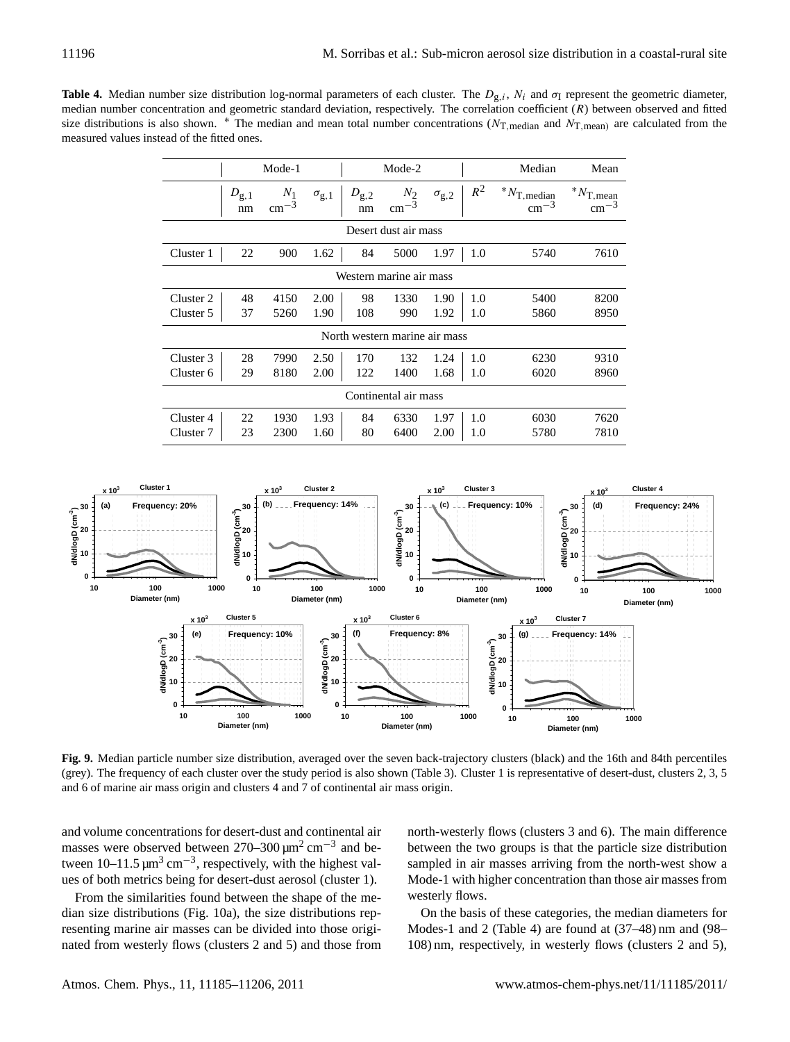Table 4. Median number size distribution log-normal parameters of each cluster. The  $D_{g,i}$ ,  $N_i$  and  $\sigma_I$  represent the geometric diameter, median number concentration and geometric standard deviation, respectively. The correlation coefficient  $(R)$  between observed and fitted size distributions is also shown. \* The median and mean total number concentrations ( $N_{\text{T,median}}$  and  $N_{\text{T,mean}}$ ) are calculated from the measured values instead of the fitted ones.

|                               |                     | Mode-1                 |                |                 | Mode-2                 |                |       | Median                                 | Mean                                  |  |  |
|-------------------------------|---------------------|------------------------|----------------|-----------------|------------------------|----------------|-------|----------------------------------------|---------------------------------------|--|--|
|                               | $D_{\rm g,1}$<br>nm | $N_1$<br>$\rm cm^{-3}$ | $\sigma_{g,1}$ | $D_{g,2}$<br>nm | $N_2$<br>$\rm cm^{-3}$ | $\sigma_{g,2}$ | $R^2$ | $N_{\text{T,median}}$<br>$\rm cm^{-3}$ | $*N_{\text{T,mean}}$<br>$\rm cm^{-3}$ |  |  |
| Desert dust air mass          |                     |                        |                |                 |                        |                |       |                                        |                                       |  |  |
| Cluster 1                     | 22                  | 900                    | 1.62           | 84              | 5000                   | 1.97           | 1.0   | 5740                                   | 7610                                  |  |  |
| Western marine air mass       |                     |                        |                |                 |                        |                |       |                                        |                                       |  |  |
| Cluster 2                     | 48                  | 4150                   | 2.00           | 98              | 1330                   | 1.90           | 1.0   | 5400                                   | 8200                                  |  |  |
| Cluster 5                     | 37                  | 5260                   | 1.90           | 108             | 990                    | 1.92           | 1.0   | 5860                                   | 8950                                  |  |  |
| North western marine air mass |                     |                        |                |                 |                        |                |       |                                        |                                       |  |  |
| Cluster 3                     | 28                  | 7990                   | 2.50           | 170             | 132                    | 1.24           | 1.0   | 6230                                   | 9310                                  |  |  |
| Cluster 6                     | 29                  | 8180                   | 2.00           | 122             | 1400                   | 1.68           | 1.0   | 6020                                   | 8960                                  |  |  |
| Continental air mass          |                     |                        |                |                 |                        |                |       |                                        |                                       |  |  |
| Cluster 4                     | 22                  | 1930                   | 1.93           | 84              | 6330                   | 1.97           | 1.0   | 6030                                   | 7620                                  |  |  |
| Cluster <sub>7</sub>          | 23                  | 2300                   | 1.60           | 80              | 6400                   | 2.00           | 1.0   | 5780                                   | 7810                                  |  |  |



**Fig. 9.** Median particle number size distribution, averaged over the seven back-trajectory clusters (black) and the 16th and 84th percentiles (grey). The frequency of each cluster over the study period is also shown (Table 3). Cluster 1 is representative of desert-dust, clusters 2, 3, 5 and 6 of marine air mass origin and clusters 4 and 7 of continental air mass origin.

and volume concentrations for desert-dust and continental air masses were observed between  $270-300 \,\mathrm{\upmu m^2 \, cm^{-3}}$  and between  $10-11.5 \mu m^3 cm^{-3}$ , respectively, with the highest values of both metrics being for desert-dust aerosol (cluster 1).

From the similarities found between the shape of the median size distributions (Fig. 10a), the size distributions representing marine air masses can be divided into those originated from westerly flows (clusters 2 and 5) and those from north-westerly flows (clusters 3 and 6). The main difference between the two groups is that the particle size distribution sampled in air masses arriving from the north-west show a Mode-1 with higher concentration than those air masses from westerly flows.

On the basis of these categories, the median diameters for Modes-1 and 2 (Table 4) are found at (37–48) nm and (98– 108) nm, respectively, in westerly flows (clusters 2 and 5),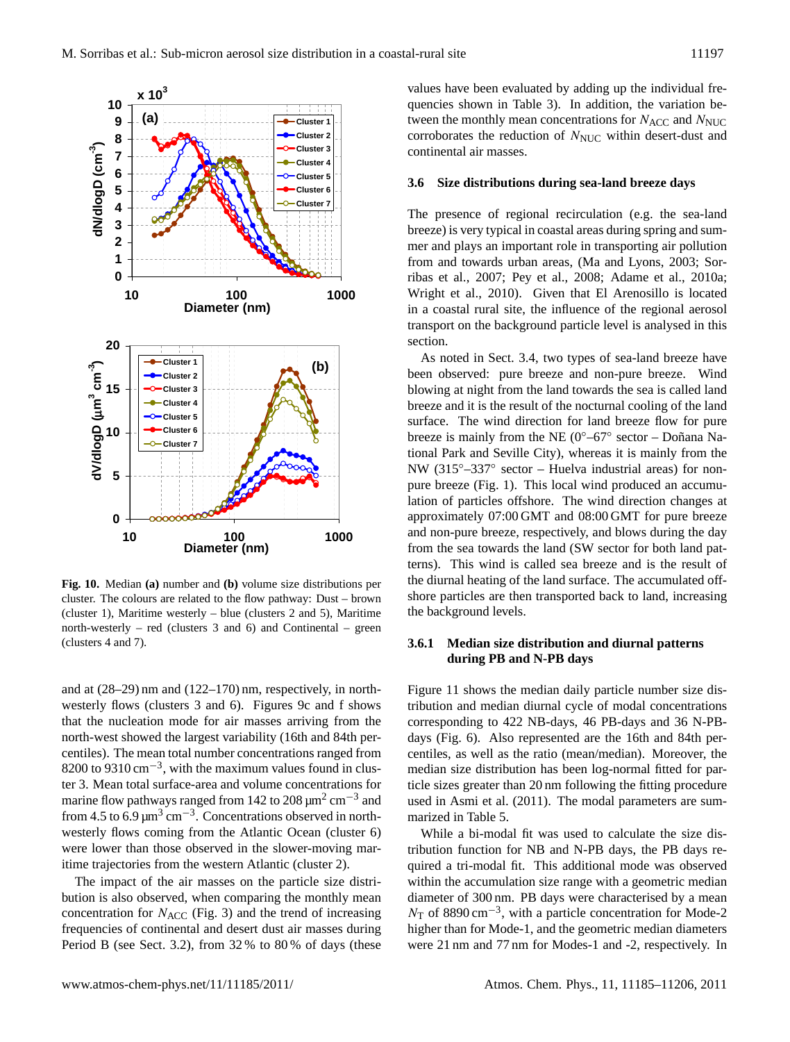

**Fig. 10.** Median **(a)** number and **(b)** volume size distributions per cluster. The colours are related to the flow pathway: Dust – brown (cluster 1), Maritime westerly – blue (clusters 2 and 5), Maritime north-westerly – red (clusters  $3$  and  $6$ ) and Continental – green (clusters 4 and 7).

and at (28–29) nm and (122–170) nm, respectively, in northwesterly flows (clusters 3 and 6). Figures 9c and f shows that the nucleation mode for air masses arriving from the north-west showed the largest variability (16th and 84th percentiles). The mean total number concentrations ranged from 8200 to 9310 cm<sup>-3</sup>, with the maximum values found in cluster 3. Mean total surface-area and volume concentrations for marine flow pathways ranged from 142 to 208  $\mu$ m<sup>2</sup> cm<sup>-3</sup> and from 4.5 to 6.9  $\mu$ m<sup>3</sup> cm<sup>-3</sup>. Concentrations observed in northwesterly flows coming from the Atlantic Ocean (cluster 6) were lower than those observed in the slower-moving maritime trajectories from the western Atlantic (cluster 2).

The impact of the air masses on the particle size distribution is also observed, when comparing the monthly mean concentration for  $N_{\text{ACC}}$  (Fig. 3) and the trend of increasing frequencies of continental and desert dust air masses during Period B (see Sect. 3.2), from 32 % to 80 % of days (these values have been evaluated by adding up the individual frequencies shown in Table 3). In addition, the variation between the monthly mean concentrations for  $N_{\text{ACC}}$  and  $N_{\text{NUC}}$ corroborates the reduction of  $N_{\text{NUC}}$  within desert-dust and continental air masses.

## **3.6 Size distributions during sea-land breeze days**

The presence of regional recirculation (e.g. the sea-land breeze) is very typical in coastal areas during spring and summer and plays an important role in transporting air pollution from and towards urban areas, (Ma and Lyons, 2003; Sorribas et al., 2007; Pey et al., 2008; Adame et al., 2010a; Wright et al., 2010). Given that El Arenosillo is located in a coastal rural site, the influence of the regional aerosol transport on the background particle level is analysed in this section.

As noted in Sect. 3.4, two types of sea-land breeze have been observed: pure breeze and non-pure breeze. Wind blowing at night from the land towards the sea is called land breeze and it is the result of the nocturnal cooling of the land surface. The wind direction for land breeze flow for pure breeze is mainly from the NE ( $0^{\circ}$ –67° sector – Doñana National Park and Seville City), whereas it is mainly from the NW (315◦–337◦ sector – Huelva industrial areas) for nonpure breeze (Fig. 1). This local wind produced an accumulation of particles offshore. The wind direction changes at approximately 07:00 GMT and 08:00 GMT for pure breeze and non-pure breeze, respectively, and blows during the day from the sea towards the land (SW sector for both land patterns). This wind is called sea breeze and is the result of the diurnal heating of the land surface. The accumulated offshore particles are then transported back to land, increasing the background levels.

# **3.6.1 Median size distribution and diurnal patterns during PB and N-PB days**

Figure 11 shows the median daily particle number size distribution and median diurnal cycle of modal concentrations corresponding to 422 NB-days, 46 PB-days and 36 N-PBdays (Fig. 6). Also represented are the 16th and 84th percentiles, as well as the ratio (mean/median). Moreover, the median size distribution has been log-normal fitted for particle sizes greater than 20 nm following the fitting procedure used in Asmi et al. (2011). The modal parameters are summarized in Table 5.

While a bi-modal fit was used to calculate the size distribution function for NB and N-PB days, the PB days required a tri-modal fit. This additional mode was observed within the accumulation size range with a geometric median diameter of 300 nm. PB days were characterised by a mean  $N_T$  of 8890 cm<sup>-3</sup>, with a particle concentration for Mode-2 higher than for Mode-1, and the geometric median diameters were 21 nm and 77 nm for Modes-1 and -2, respectively. In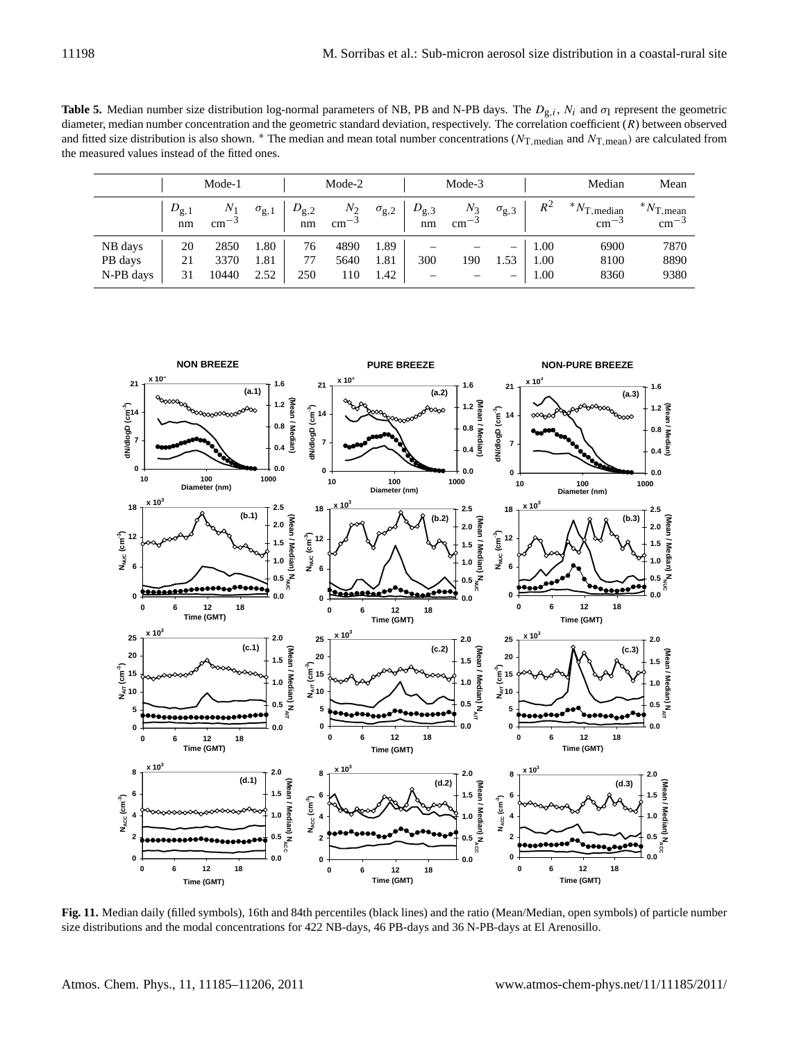**Table 5.** Median number size distribution log-normal parameters of NB, PB and N-PB days. The  $D_{g,i}$ ,  $N_i$  and  $\sigma_I$  represent the geometric diameter, median number concentration and the geometric standard deviation, respectively. The correlation coefficient (R) between observed and fitted size distribution is also shown. \* The median and mean total number concentrations ( $N_{\text{T,median}}$  and  $N_{\text{T,mean}}$ ) are calculated from the measured values instead of the fitted ones.

|           |                     | Mode-1            |                |                 | Mode-2             |                |                          | Mode-3             |                |       | Median                             | Mean                                 |
|-----------|---------------------|-------------------|----------------|-----------------|--------------------|----------------|--------------------------|--------------------|----------------|-------|------------------------------------|--------------------------------------|
|           | $D_{\rm g,1}$<br>nm | $N_1$<br>$cm^{-}$ | $\sigma_{g,1}$ | $D_{g,2}$<br>nm | $N_2$<br>$cm^{-3}$ | $\sigma_{g,2}$ | $D_{\rm g,3}$<br>nm      | $N_3$<br>$cm^{-3}$ | $\sigma_{g,3}$ | $R^2$ | $N_{\text{T,median}}$<br>$cm^{-3}$ | $N_{\text{T,mean}}$<br>$\rm cm^{-3}$ |
| NB days   | 20                  | 2850              | 1.80           | 76              | 4890               | 1.89           |                          |                    | –              | 1.00  | 6900                               | 7870                                 |
| PB days   | 21                  | 3370              | 1.81           | 77              | 5640               | 1.81           | 300                      | 190                | .53            | 1.00  | 8100                               | 8890                                 |
| N-PB days | 31                  | 10440             | 2.52           | 250             | 110                | 1.42           | $\overline{\phantom{0}}$ | –                  | -              | 1.00  | 8360                               | 9380                                 |

![](_page_13_Figure_3.jpeg)

**Fig. 11.** Median daily (filled symbols), 16th and 84th percentiles (black lines) and the ratio (Mean/Median, open symbols) of particle number size distributions and the modal concentrations for 422 NB-days, 46 PB-days and 36 N-PB-days at El Arenosillo.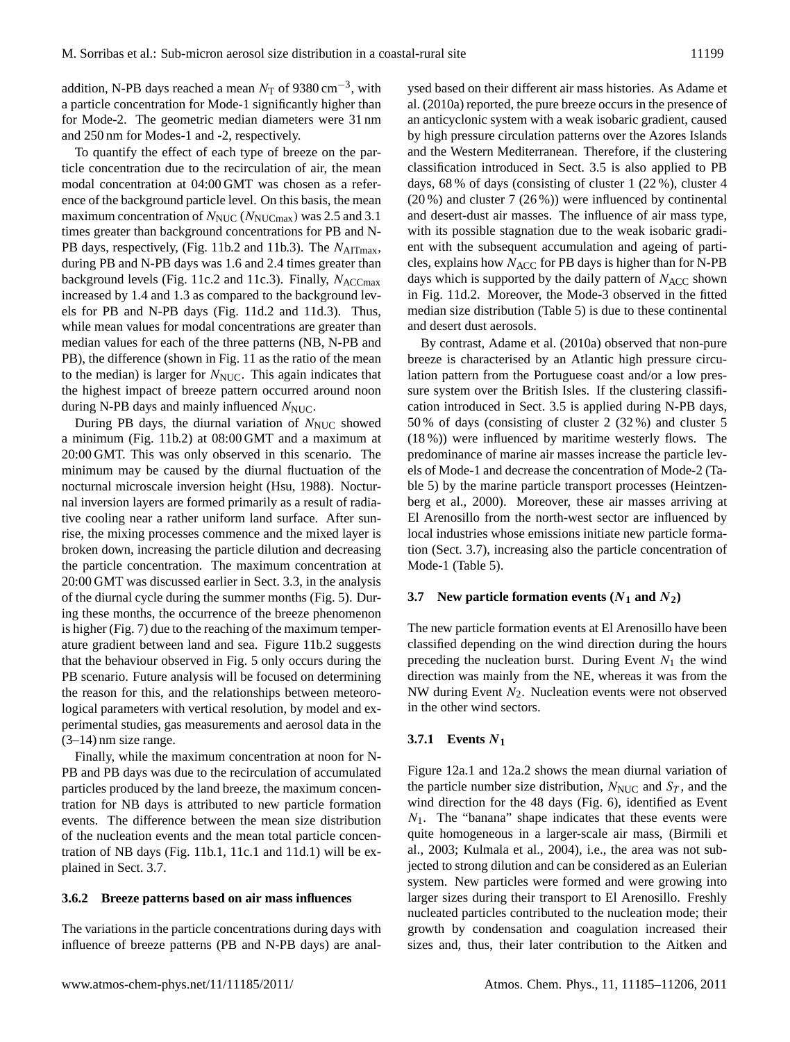addition, N-PB days reached a mean  $N_T$  of 9380 cm<sup>-3</sup>, with a particle concentration for Mode-1 significantly higher than for Mode-2. The geometric median diameters were 31 nm and 250 nm for Modes-1 and -2, respectively.

To quantify the effect of each type of breeze on the particle concentration due to the recirculation of air, the mean modal concentration at 04:00 GMT was chosen as a reference of the background particle level. On this basis, the mean maximum concentration of  $N_{\text{NUC}}$  ( $N_{\text{NUCmax}}$ ) was 2.5 and 3.1 times greater than background concentrations for PB and N-PB days, respectively, (Fig. 11b.2 and 11b.3). The  $N_{\text{AITmax}}$ , during PB and N-PB days was 1.6 and 2.4 times greater than background levels (Fig. 11c.2 and 11c.3). Finally,  $N_{\text{ACC}max}$ increased by 1.4 and 1.3 as compared to the background levels for PB and N-PB days (Fig. 11d.2 and 11d.3). Thus, while mean values for modal concentrations are greater than median values for each of the three patterns (NB, N-PB and PB), the difference (shown in Fig. 11 as the ratio of the mean to the median) is larger for  $N_{\text{NUC}}$ . This again indicates that the highest impact of breeze pattern occurred around noon during N-PB days and mainly influenced  $N_{\text{NUC}}$ .

During PB days, the diurnal variation of  $N_{\text{NUC}}$  showed a minimum (Fig. 11b.2) at 08:00 GMT and a maximum at 20:00 GMT. This was only observed in this scenario. The minimum may be caused by the diurnal fluctuation of the nocturnal microscale inversion height (Hsu, 1988). Nocturnal inversion layers are formed primarily as a result of radiative cooling near a rather uniform land surface. After sunrise, the mixing processes commence and the mixed layer is broken down, increasing the particle dilution and decreasing the particle concentration. The maximum concentration at 20:00 GMT was discussed earlier in Sect. 3.3, in the analysis of the diurnal cycle during the summer months (Fig. 5). During these months, the occurrence of the breeze phenomenon is higher (Fig. 7) due to the reaching of the maximum temperature gradient between land and sea. Figure 11b.2 suggests that the behaviour observed in Fig. 5 only occurs during the PB scenario. Future analysis will be focused on determining the reason for this, and the relationships between meteorological parameters with vertical resolution, by model and experimental studies, gas measurements and aerosol data in the (3–14) nm size range.

Finally, while the maximum concentration at noon for N-PB and PB days was due to the recirculation of accumulated particles produced by the land breeze, the maximum concentration for NB days is attributed to new particle formation events. The difference between the mean size distribution of the nucleation events and the mean total particle concentration of NB days (Fig. 11b.1, 11c.1 and 11d.1) will be explained in Sect. 3.7.

#### **3.6.2 Breeze patterns based on air mass influences**

The variations in the particle concentrations during days with influence of breeze patterns (PB and N-PB days) are analysed based on their different air mass histories. As Adame et al. (2010a) reported, the pure breeze occurs in the presence of an anticyclonic system with a weak isobaric gradient, caused by high pressure circulation patterns over the Azores Islands and the Western Mediterranean. Therefore, if the clustering classification introduced in Sect. 3.5 is also applied to PB days, 68 % of days (consisting of cluster 1 (22 %), cluster 4 (20 %) and cluster 7 (26 %)) were influenced by continental and desert-dust air masses. The influence of air mass type, with its possible stagnation due to the weak isobaric gradient with the subsequent accumulation and ageing of particles, explains how  $N_{\text{ACC}}$  for PB days is higher than for N-PB days which is supported by the daily pattern of  $N_{\text{ACC}}$  shown in Fig. 11d.2. Moreover, the Mode-3 observed in the fitted median size distribution (Table 5) is due to these continental and desert dust aerosols.

By contrast, Adame et al. (2010a) observed that non-pure breeze is characterised by an Atlantic high pressure circulation pattern from the Portuguese coast and/or a low pressure system over the British Isles. If the clustering classification introduced in Sect. 3.5 is applied during N-PB days, 50 % of days (consisting of cluster 2 (32 %) and cluster 5 (18 %)) were influenced by maritime westerly flows. The predominance of marine air masses increase the particle levels of Mode-1 and decrease the concentration of Mode-2 (Table 5) by the marine particle transport processes (Heintzenberg et al., 2000). Moreover, these air masses arriving at El Arenosillo from the north-west sector are influenced by local industries whose emissions initiate new particle formation (Sect. 3.7), increasing also the particle concentration of Mode-1 (Table 5).

### **3.7** New particle formation events  $(N_1 \text{ and } N_2)$

The new particle formation events at El Arenosillo have been classified depending on the wind direction during the hours preceding the nucleation burst. During Event  $N_1$  the wind direction was mainly from the NE, whereas it was from the NW during Event  $N_2$ . Nucleation events were not observed in the other wind sectors.

#### **3.7.1 Events** N**<sup>1</sup>**

Figure 12a.1 and 12a.2 shows the mean diurnal variation of the particle number size distribution,  $N_{\text{NUC}}$  and  $S_T$ , and the wind direction for the 48 days (Fig. 6), identified as Event  $N_1$ . The "banana" shape indicates that these events were quite homogeneous in a larger-scale air mass, (Birmili et al., 2003; Kulmala et al., 2004), i.e., the area was not subjected to strong dilution and can be considered as an Eulerian system. New particles were formed and were growing into larger sizes during their transport to El Arenosillo. Freshly nucleated particles contributed to the nucleation mode; their growth by condensation and coagulation increased their sizes and, thus, their later contribution to the Aitken and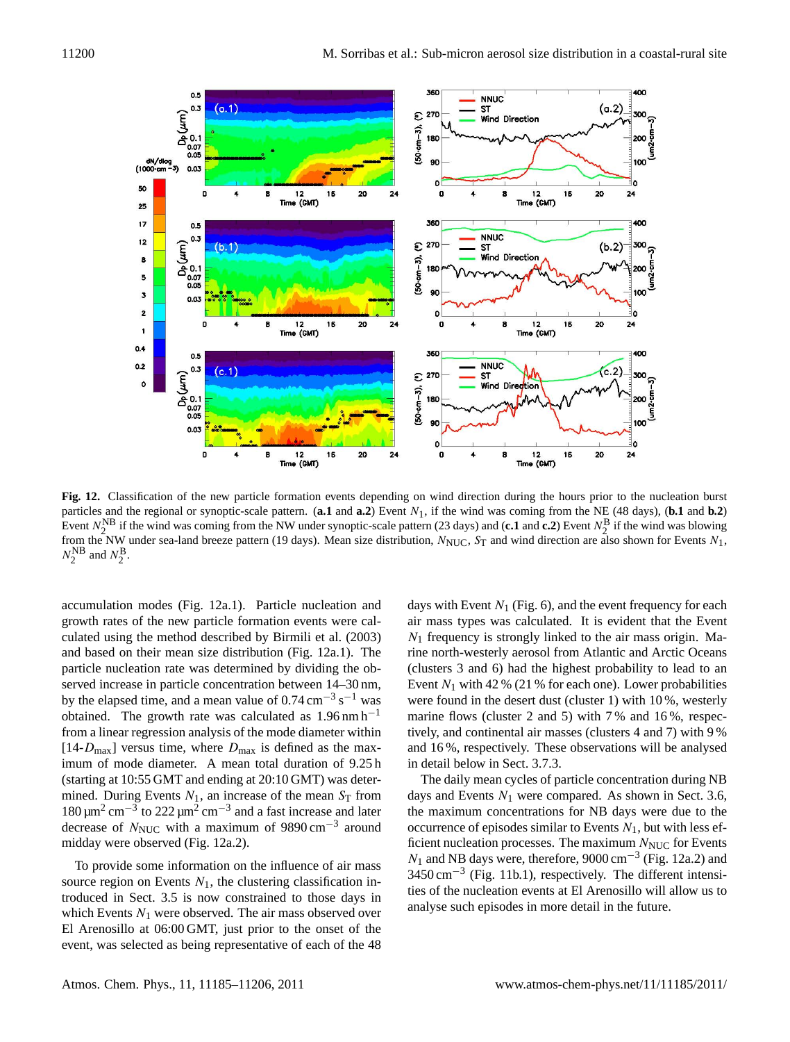![](_page_15_Figure_2.jpeg)

**Fig. 12.** Classification of the new particle formation events depending on wind direction during the hours prior to the nucleation burst particles and the regional or synoptic-scale pattern. (**a.1** and **a.2**) Event  $N_1$ , if the wind was coming from the NE (48 days), (**b.1** and **b.2**) Event  $N_2^{\text{NB}}$  if the wind was coming from the NW under synoptic-scale pattern (23 days) and (**c.1** and **c.2**) Event  $N_2^{\text{B}}$  if the wind was blowing from the NW under sea-land breeze pattern (19 days). Mean size distribution,  $N_{\text{NUC}}$ ,  $S_T$  and wind direction are also shown for Events  $N_1$ ,  $N_2^{\text{NB}}$  and  $N_2^{\text{B}}$ .

accumulation modes (Fig. 12a.1). Particle nucleation and growth rates of the new particle formation events were calculated using the method described by Birmili et al. (2003) and based on their mean size distribution (Fig. 12a.1). The particle nucleation rate was determined by dividing the observed increase in particle concentration between 14–30 nm, by the elapsed time, and a mean value of  $0.74 \text{ cm}^{-3} \text{ s}^{-1}$  was obtained. The growth rate was calculated as  $1.96 \text{ nm h}^{-1}$ from a linear regression analysis of the mode diameter within [14- $D_{\text{max}}$ ] versus time, where  $D_{\text{max}}$  is defined as the maximum of mode diameter. A mean total duration of 9.25 h (starting at 10:55 GMT and ending at 20:10 GMT) was determined. During Events  $N_1$ , an increase of the mean  $S_T$  from 180 μm<sup>2</sup> cm<sup>-3</sup> to 222 μm<sup>2</sup> cm<sup>-3</sup> and a fast increase and later decrease of  $N_{\text{NUC}}$  with a maximum of 9890 cm<sup>-3</sup> around midday were observed (Fig. 12a.2).

To provide some information on the influence of air mass source region on Events  $N_1$ , the clustering classification introduced in Sect. 3.5 is now constrained to those days in which Events  $N_1$  were observed. The air mass observed over El Arenosillo at 06:00 GMT, just prior to the onset of the event, was selected as being representative of each of the 48

days with Event  $N_1$  (Fig. 6), and the event frequency for each air mass types was calculated. It is evident that the Event  $N_1$  frequency is strongly linked to the air mass origin. Marine north-westerly aerosol from Atlantic and Arctic Oceans (clusters 3 and 6) had the highest probability to lead to an Event  $N_1$  with 42 % (21 % for each one). Lower probabilities were found in the desert dust (cluster 1) with 10 %, westerly marine flows (cluster 2 and 5) with 7% and 16%, respectively, and continental air masses (clusters 4 and 7) with 9 % and 16 %, respectively. These observations will be analysed in detail below in Sect. 3.7.3.

The daily mean cycles of particle concentration during NB days and Events  $N_1$  were compared. As shown in Sect. 3.6, the maximum concentrations for NB days were due to the occurrence of episodes similar to Events  $N_1$ , but with less efficient nucleation processes. The maximum  $N_{\text{NUC}}$  for Events  $N_1$  and NB days were, therefore, 9000 cm<sup>-3</sup> (Fig. 12a.2) and 3450 cm<sup>-3</sup> (Fig. 11b.1), respectively. The different intensities of the nucleation events at El Arenosillo will allow us to analyse such episodes in more detail in the future.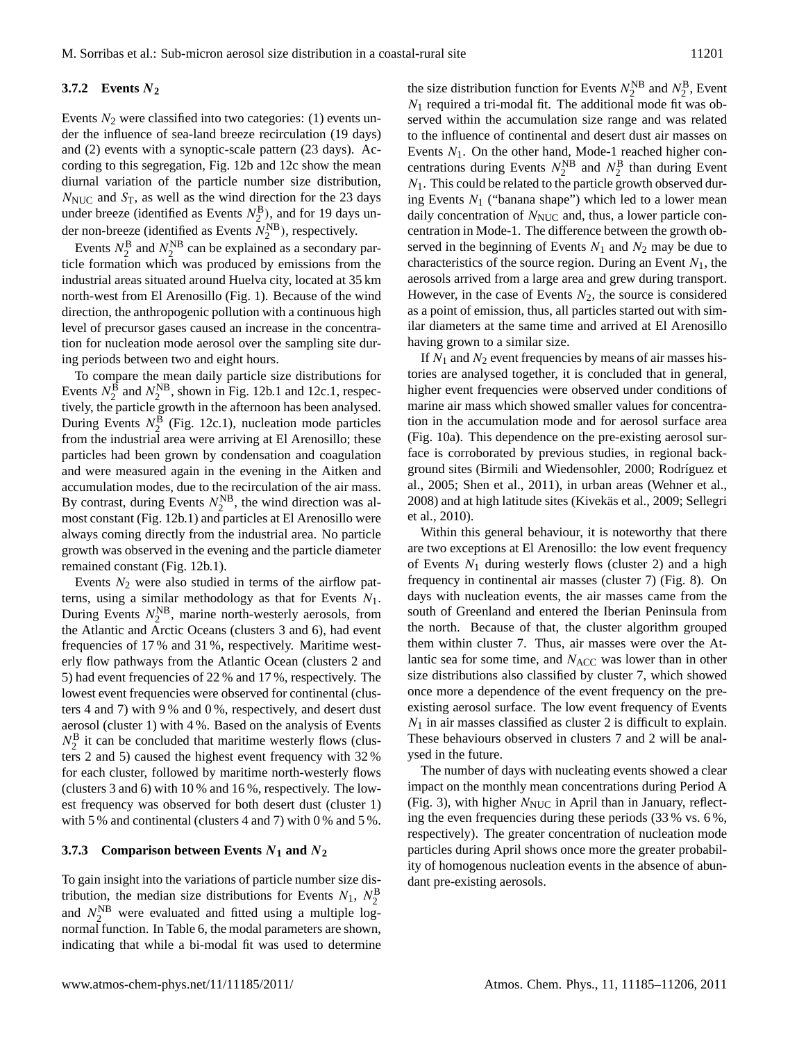## **3.7.2 Events** N**<sup>2</sup>**

Events  $N_2$  were classified into two categories: (1) events under the influence of sea-land breeze recirculation (19 days) and (2) events with a synoptic-scale pattern (23 days). According to this segregation, Fig. 12b and 12c show the mean diurnal variation of the particle number size distribution,  $N_{\text{NUC}}$  and  $S_{\text{T}}$ , as well as the wind direction for the 23 days under breeze (identified as Events  $N_2^{\text{B}}$ ), and for 19 days under non-breeze (identified as Events  $N_2^{\text{NB}}$ ), respectively.

Events  $N_2^{\text{B}}$  and  $N_2^{\text{NB}}$  can be explained as a secondary particle formation which was produced by emissions from the industrial areas situated around Huelva city, located at 35 km north-west from El Arenosillo (Fig. 1). Because of the wind direction, the anthropogenic pollution with a continuous high level of precursor gases caused an increase in the concentration for nucleation mode aerosol over the sampling site during periods between two and eight hours.

To compare the mean daily particle size distributions for Events  $N_2^{\text{B}}$  and  $N_2^{\text{NB}}$ , shown in Fig. 12b.1 and 12c.1, respectively, the particle growth in the afternoon has been analysed. During Events  $N_2^B$  (Fig. 12c.1), nucleation mode particles from the industrial area were arriving at El Arenosillo; these particles had been grown by condensation and coagulation and were measured again in the evening in the Aitken and accumulation modes, due to the recirculation of the air mass. By contrast, during Events  $N_2^{\text{NB}}$ , the wind direction was almost constant (Fig. 12b.1) and particles at El Arenosillo were always coming directly from the industrial area. No particle growth was observed in the evening and the particle diameter remained constant (Fig. 12b.1).

Events  $N_2$  were also studied in terms of the airflow patterns, using a similar methodology as that for Events  $N_1$ . During Events  $N_2^{\text{NB}}$ , marine north-westerly aerosols, from the Atlantic and Arctic Oceans (clusters 3 and 6), had event frequencies of 17 % and 31 %, respectively. Maritime westerly flow pathways from the Atlantic Ocean (clusters 2 and 5) had event frequencies of 22 % and 17 %, respectively. The lowest event frequencies were observed for continental (clusters 4 and 7) with 9 % and 0 %, respectively, and desert dust aerosol (cluster 1) with 4 %. Based on the analysis of Events  $N_2^{\text{B}}$  it can be concluded that maritime westerly flows (clusters 2 and 5) caused the highest event frequency with 32 % for each cluster, followed by maritime north-westerly flows (clusters 3 and 6) with 10 % and 16 %, respectively. The lowest frequency was observed for both desert dust (cluster 1) with 5 % and continental (clusters 4 and 7) with 0 % and 5 %.

# **3.7.3 Comparison between Events** N**<sup>1</sup> and** N**<sup>2</sup>**

To gain insight into the variations of particle number size distribution, the median size distributions for Events  $N_1$ ,  $N_2^B$ and  $N_2^{\text{NB}}$  were evaluated and fitted using a multiple lognormal function. In Table 6, the modal parameters are shown, indicating that while a bi-modal fit was used to determine

the size distribution function for Events  $N_2^{\text{NB}}$  and  $N_2^{\text{B}}$ , Event  $N_1$  required a tri-modal fit. The additional mode fit was observed within the accumulation size range and was related to the influence of continental and desert dust air masses on Events  $N_1$ . On the other hand, Mode-1 reached higher concentrations during Events  $N_2^{NB}$  and  $N_2^{B}$  than during Event  $N_1$ . This could be related to the particle growth observed during Events  $N_1$  ("banana shape") which led to a lower mean daily concentration of  $N_{\text{NUC}}$  and, thus, a lower particle concentration in Mode-1. The difference between the growth observed in the beginning of Events  $N_1$  and  $N_2$  may be due to characteristics of the source region. During an Event  $N_1$ , the aerosols arrived from a large area and grew during transport. However, in the case of Events  $N_2$ , the source is considered as a point of emission, thus, all particles started out with similar diameters at the same time and arrived at El Arenosillo having grown to a similar size.

If  $N_1$  and  $N_2$  event frequencies by means of air masses histories are analysed together, it is concluded that in general, higher event frequencies were observed under conditions of marine air mass which showed smaller values for concentration in the accumulation mode and for aerosol surface area (Fig. 10a). This dependence on the pre-existing aerosol surface is corroborated by previous studies, in regional background sites (Birmili and Wiedensohler, 2000; Rodríguez et al., 2005; Shen et al., 2011), in urban areas (Wehner et al., 2008) and at high latitude sites (Kivekäs et al., 2009; Sellegri et al., 2010).

Within this general behaviour, it is noteworthy that there are two exceptions at El Arenosillo: the low event frequency of Events  $N_1$  during westerly flows (cluster 2) and a high frequency in continental air masses (cluster 7) (Fig. 8). On days with nucleation events, the air masses came from the south of Greenland and entered the Iberian Peninsula from the north. Because of that, the cluster algorithm grouped them within cluster 7. Thus, air masses were over the Atlantic sea for some time, and  $N<sub>ACC</sub>$  was lower than in other size distributions also classified by cluster 7, which showed once more a dependence of the event frequency on the preexisting aerosol surface. The low event frequency of Events  $N_1$  in air masses classified as cluster 2 is difficult to explain. These behaviours observed in clusters 7 and 2 will be analysed in the future.

The number of days with nucleating events showed a clear impact on the monthly mean concentrations during Period A (Fig. 3), with higher  $N_{\text{NUC}}$  in April than in January, reflecting the even frequencies during these periods (33 % vs. 6 %, respectively). The greater concentration of nucleation mode particles during April shows once more the greater probability of homogenous nucleation events in the absence of abundant pre-existing aerosols.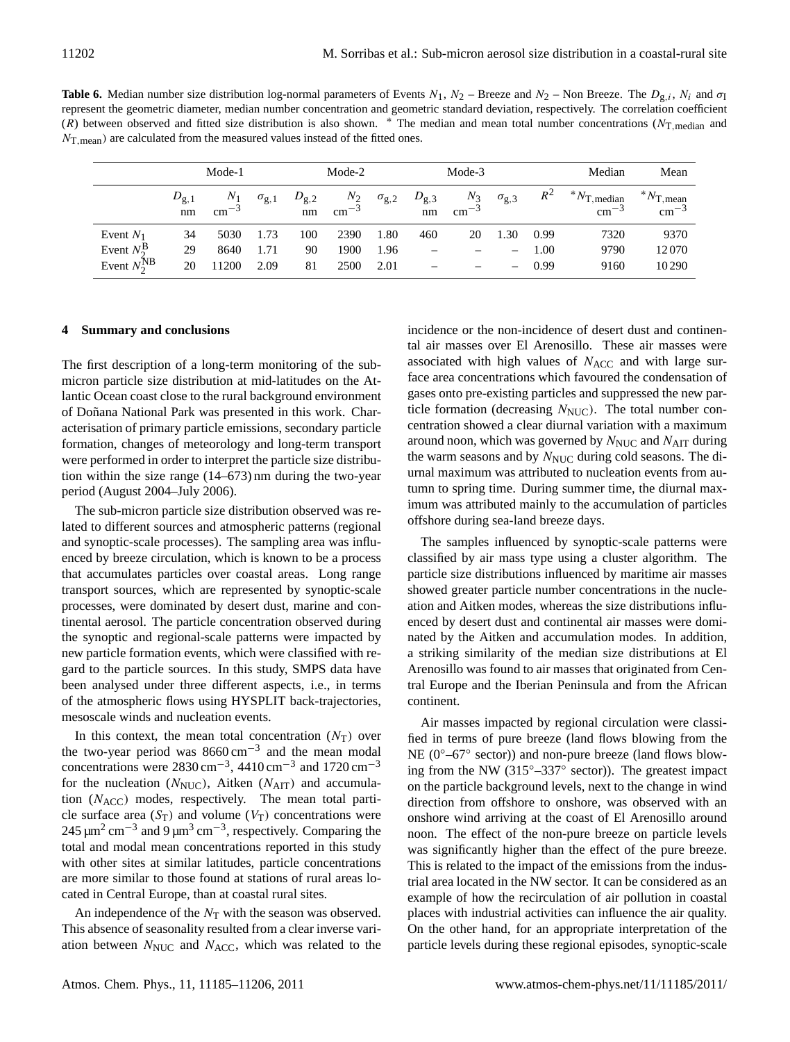**Table 6.** Median number size distribution log-normal parameters of Events  $N_1$ ,  $N_2$  – Breeze and  $N_2$  – Non Breeze. The  $D_{g,i}$ ,  $N_i$  and  $\sigma_1$ represent the geometric diameter, median number concentration and geometric standard deviation, respectively. The correlation coefficient (R) between observed and fitted size distribution is also shown. \* The median and mean total number concentrations ( $N_{\text{T,median}}$  and  $N_{\text{T,mean}}$ ) are calculated from the measured values instead of the fitted ones.

|                         | Mode-1                   |                          |                | Mode-2          |                   |                |                     | Mode-3                 |                |       | Median                                 | Mean                                 |
|-------------------------|--------------------------|--------------------------|----------------|-----------------|-------------------|----------------|---------------------|------------------------|----------------|-------|----------------------------------------|--------------------------------------|
|                         | $D_{\mathrm{g},1}$<br>nm | $N_1$<br>cm <sup>3</sup> | $\sigma_{g,1}$ | $D_{g,2}$<br>nm | $N_2$<br>$cm^{-}$ | $\sigma_{g,2}$ | $D_{\rm g,3}$<br>nm | $N_3$<br>$\rm cm^{-3}$ | $\sigma_{g,3}$ | $R^2$ | $N_{\text{T,median}}$<br>$\rm cm^{-3}$ | $N_{\text{T,mean}}$<br>$\rm cm^{-3}$ |
| Event $N_1$             | 34                       | 5030                     | 1.73           | 100             | 2390              | 1.80           | 460                 | 20                     | l.30           | 0.99  | 7320                                   | 9370                                 |
| Event $N_2^{\rm B}$     | 29                       | 8640                     | 1.71           | 90              | 1900              | 1.96           |                     |                        | -              | 1.00  | 9790                                   | 12070                                |
| Event $N_2^{\text{NB}}$ | 20                       | 11200                    | 2.09           | 81              | 2500              | 2.01           |                     |                        | -              | 0.99  | 9160                                   | 10290                                |

#### **4 Summary and conclusions**

The first description of a long-term monitoring of the submicron particle size distribution at mid-latitudes on the Atlantic Ocean coast close to the rural background environment of Doñana National Park was presented in this work. Characterisation of primary particle emissions, secondary particle formation, changes of meteorology and long-term transport were performed in order to interpret the particle size distribution within the size range (14–673) nm during the two-year period (August 2004–July 2006).

The sub-micron particle size distribution observed was related to different sources and atmospheric patterns (regional and synoptic-scale processes). The sampling area was influenced by breeze circulation, which is known to be a process that accumulates particles over coastal areas. Long range transport sources, which are represented by synoptic-scale processes, were dominated by desert dust, marine and continental aerosol. The particle concentration observed during the synoptic and regional-scale patterns were impacted by new particle formation events, which were classified with regard to the particle sources. In this study, SMPS data have been analysed under three different aspects, i.e., in terms of the atmospheric flows using HYSPLIT back-trajectories, mesoscale winds and nucleation events.

In this context, the mean total concentration  $(N_T)$  over the two-year period was  $8660 \text{ cm}^{-3}$  and the mean modal concentrations were 2830 cm<sup>-3</sup>, 4410 cm<sup>-3</sup> and 1720 cm<sup>-3</sup> for the nucleation  $(N_{\text{NUC}})$ , Aitken  $(N_{\text{AIT}})$  and accumulation  $(N_{\text{ACC}})$  modes, respectively. The mean total particle surface area  $(S_T)$  and volume  $(V_T)$  concentrations were 245  $\mu$ m<sup>2</sup> cm<sup>-3</sup> and 9  $\mu$ m<sup>3</sup> cm<sup>-3</sup>, respectively. Comparing the total and modal mean concentrations reported in this study with other sites at similar latitudes, particle concentrations are more similar to those found at stations of rural areas located in Central Europe, than at coastal rural sites.

An independence of the  $N<sub>T</sub>$  with the season was observed. This absence of seasonality resulted from a clear inverse variation between  $N_{\text{NUC}}$  and  $N_{\text{ACC}}$ , which was related to the incidence or the non-incidence of desert dust and continental air masses over El Arenosillo. These air masses were associated with high values of  $N_{ACC}$  and with large surface area concentrations which favoured the condensation of gases onto pre-existing particles and suppressed the new particle formation (decreasing  $N_{\text{NUC}}$ ). The total number concentration showed a clear diurnal variation with a maximum around noon, which was governed by  $N_{\text{NUC}}$  and  $N_{\text{AIT}}$  during the warm seasons and by  $N_{\text{NUC}}$  during cold seasons. The diurnal maximum was attributed to nucleation events from autumn to spring time. During summer time, the diurnal maximum was attributed mainly to the accumulation of particles offshore during sea-land breeze days.

The samples influenced by synoptic-scale patterns were classified by air mass type using a cluster algorithm. The particle size distributions influenced by maritime air masses showed greater particle number concentrations in the nucleation and Aitken modes, whereas the size distributions influenced by desert dust and continental air masses were dominated by the Aitken and accumulation modes. In addition, a striking similarity of the median size distributions at El Arenosillo was found to air masses that originated from Central Europe and the Iberian Peninsula and from the African continent.

Air masses impacted by regional circulation were classified in terms of pure breeze (land flows blowing from the NE (0°–67° sector)) and non-pure breeze (land flows blowing from the NW (315◦–337◦ sector)). The greatest impact on the particle background levels, next to the change in wind direction from offshore to onshore, was observed with an onshore wind arriving at the coast of El Arenosillo around noon. The effect of the non-pure breeze on particle levels was significantly higher than the effect of the pure breeze. This is related to the impact of the emissions from the industrial area located in the NW sector. It can be considered as an example of how the recirculation of air pollution in coastal places with industrial activities can influence the air quality. On the other hand, for an appropriate interpretation of the particle levels during these regional episodes, synoptic-scale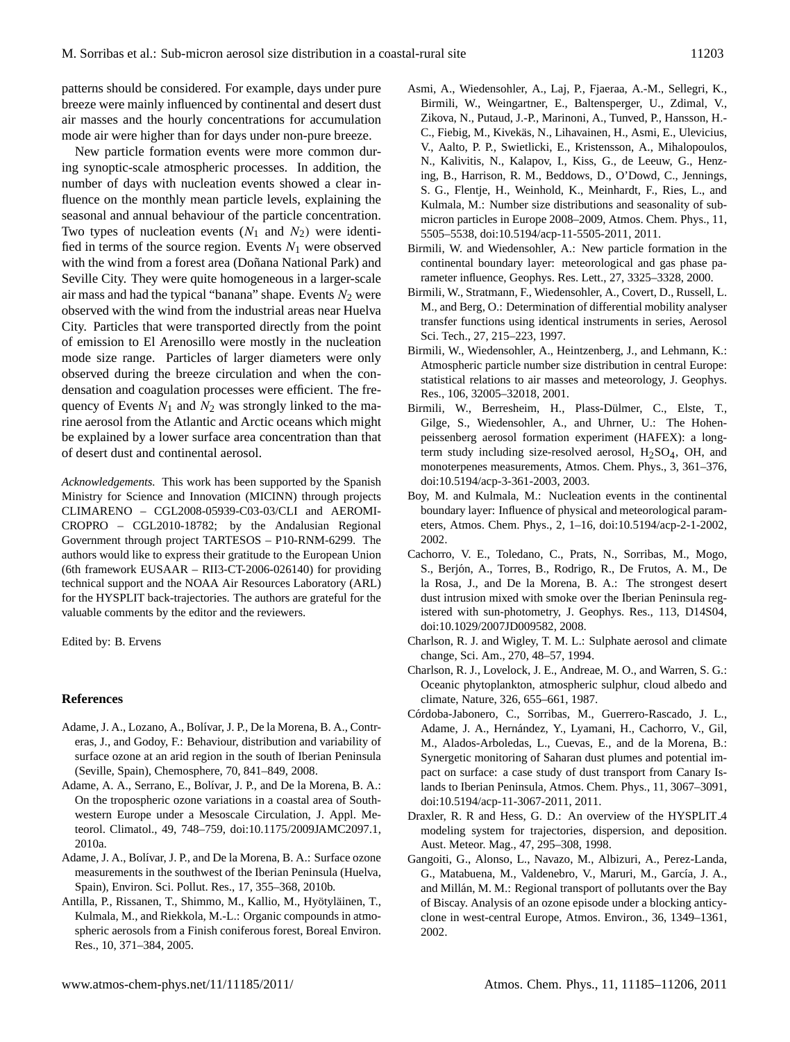patterns should be considered. For example, days under pure breeze were mainly influenced by continental and desert dust air masses and the hourly concentrations for accumulation mode air were higher than for days under non-pure breeze.

New particle formation events were more common during synoptic-scale atmospheric processes. In addition, the number of days with nucleation events showed a clear influence on the monthly mean particle levels, explaining the seasonal and annual behaviour of the particle concentration. Two types of nucleation events  $(N_1 \text{ and } N_2)$  were identified in terms of the source region. Events  $N_1$  were observed with the wind from a forest area (Doñana National Park) and Seville City. They were quite homogeneous in a larger-scale air mass and had the typical "banana" shape. Events  $N<sub>2</sub>$  were observed with the wind from the industrial areas near Huelva City. Particles that were transported directly from the point of emission to El Arenosillo were mostly in the nucleation mode size range. Particles of larger diameters were only observed during the breeze circulation and when the condensation and coagulation processes were efficient. The frequency of Events  $N_1$  and  $N_2$  was strongly linked to the marine aerosol from the Atlantic and Arctic oceans which might be explained by a lower surface area concentration than that of desert dust and continental aerosol.

*Acknowledgements.* This work has been supported by the Spanish Ministry for Science and Innovation (MICINN) through projects CLIMARENO – CGL2008-05939-C03-03/CLI and AEROMI-CROPRO – CGL2010-18782; by the Andalusian Regional Government through project TARTESOS – P10-RNM-6299. The authors would like to express their gratitude to the European Union (6th framework EUSAAR – RII3-CT-2006-026140) for providing technical support and the NOAA Air Resources Laboratory (ARL) for the HYSPLIT back-trajectories. The authors are grateful for the valuable comments by the editor and the reviewers.

Edited by: B. Ervens

#### **References**

- Adame, J. A., Lozano, A., Bolívar, J. P., De la Morena, B. A., Contreras, J., and Godoy, F.: Behaviour, distribution and variability of surface ozone at an arid region in the south of Iberian Peninsula (Seville, Spain), Chemosphere, 70, 841–849, 2008.
- Adame, A. A., Serrano, E., Bolívar, J. P., and De la Morena, B. A.: On the tropospheric ozone variations in a coastal area of Southwestern Europe under a Mesoscale Circulation, J. Appl. Meteorol. Climatol., 49, 748–759, [doi:10.1175/2009JAMC2097.1,](http://dx.doi.org/10.1175/2009JAMC2097.1) 2010a.
- Adame, J. A., Bolívar, J. P., and De la Morena, B. A.: Surface ozone measurements in the southwest of the Iberian Peninsula (Huelva, Spain), Environ. Sci. Pollut. Res., 17, 355–368, 2010b.
- Antilla, P., Rissanen, T., Shimmo, M., Kallio, M., Hyötyläinen, T., Kulmala, M., and Riekkola, M.-L.: Organic compounds in atmospheric aerosols from a Finish coniferous forest, Boreal Environ. Res., 10, 371–384, 2005.
- Asmi, A., Wiedensohler, A., Laj, P., Fjaeraa, A.-M., Sellegri, K., Birmili, W., Weingartner, E., Baltensperger, U., Zdimal, V., Zikova, N., Putaud, J.-P., Marinoni, A., Tunved, P., Hansson, H.- C., Fiebig, M., Kivekäs, N., Lihavainen, H., Asmi, E., Ulevicius, V., Aalto, P. P., Swietlicki, E., Kristensson, A., Mihalopoulos, N., Kalivitis, N., Kalapov, I., Kiss, G., de Leeuw, G., Henzing, B., Harrison, R. M., Beddows, D., O'Dowd, C., Jennings, S. G., Flentje, H., Weinhold, K., Meinhardt, F., Ries, L., and Kulmala, M.: Number size distributions and seasonality of submicron particles in Europe 2008–2009, Atmos. Chem. Phys., 11, 5505–5538, [doi:10.5194/acp-11-5505-2011,](http://dx.doi.org/10.5194/acp-11-5505-2011) 2011.
- Birmili, W. and Wiedensohler, A.: New particle formation in the continental boundary layer: meteorological and gas phase parameter influence, Geophys. Res. Lett., 27, 3325–3328, 2000.
- Birmili, W., Stratmann, F., Wiedensohler, A., Covert, D., Russell, L. M., and Berg, O.: Determination of differential mobility analyser transfer functions using identical instruments in series, Aerosol Sci. Tech., 27, 215–223, 1997.
- Birmili, W., Wiedensohler, A., Heintzenberg, J., and Lehmann, K.: Atmospheric particle number size distribution in central Europe: statistical relations to air masses and meteorology, J. Geophys. Res., 106, 32005–32018, 2001.
- Birmili, W., Berresheim, H., Plass-Dülmer, C., Elste, T., Gilge, S., Wiedensohler, A., and Uhrner, U.: The Hohenpeissenberg aerosol formation experiment (HAFEX): a longterm study including size-resolved aerosol,  $H_2SO_4$ , OH, and monoterpenes measurements, Atmos. Chem. Phys., 3, 361–376, [doi:10.5194/acp-3-361-2003,](http://dx.doi.org/10.5194/acp-3-361-2003) 2003.
- Boy, M. and Kulmala, M.: Nucleation events in the continental boundary layer: Influence of physical and meteorological parameters, Atmos. Chem. Phys., 2, 1–16, [doi:10.5194/acp-2-1-2002,](http://dx.doi.org/10.5194/acp-2-1-2002) 2002.
- Cachorro, V. E., Toledano, C., Prats, N., Sorribas, M., Mogo, S., Berjón, A., Torres, B., Rodrigo, R., De Frutos, A. M., De la Rosa, J., and De la Morena, B. A.: The strongest desert dust intrusion mixed with smoke over the Iberian Peninsula registered with sun-photometry, J. Geophys. Res., 113, D14S04, [doi:10.1029/2007JD009582,](http://dx.doi.org/10.1029/2007JD009582) 2008.
- Charlson, R. J. and Wigley, T. M. L.: Sulphate aerosol and climate change, Sci. Am., 270, 48–57, 1994.
- Charlson, R. J., Lovelock, J. E., Andreae, M. O., and Warren, S. G.: Oceanic phytoplankton, atmospheric sulphur, cloud albedo and climate, Nature, 326, 655–661, 1987.
- Córdoba-Jabonero, C., Sorribas, M., Guerrero-Rascado, J. L., Adame, J. A., Hernández, Y., Lyamani, H., Cachorro, V., Gil, M., Alados-Arboledas, L., Cuevas, E., and de la Morena, B.: Synergetic monitoring of Saharan dust plumes and potential impact on surface: a case study of dust transport from Canary Islands to Iberian Peninsula, Atmos. Chem. Phys., 11, 3067–3091, [doi:10.5194/acp-11-3067-2011,](http://dx.doi.org/10.5194/acp-11-3067-2011) 2011.
- Draxler, R. R and Hess, G. D.: An overview of the HYSPLIT<sub>-4</sub> modeling system for trajectories, dispersion, and deposition. Aust. Meteor. Mag., 47, 295–308, 1998.
- Gangoiti, G., Alonso, L., Navazo, M., Albizuri, A., Perez-Landa, G., Matabuena, M., Valdenebro, V., Maruri, M., García, J. A., and Millán, M. M.: Regional transport of pollutants over the Bay of Biscay. Analysis of an ozone episode under a blocking anticyclone in west-central Europe, Atmos. Environ., 36, 1349–1361, 2002.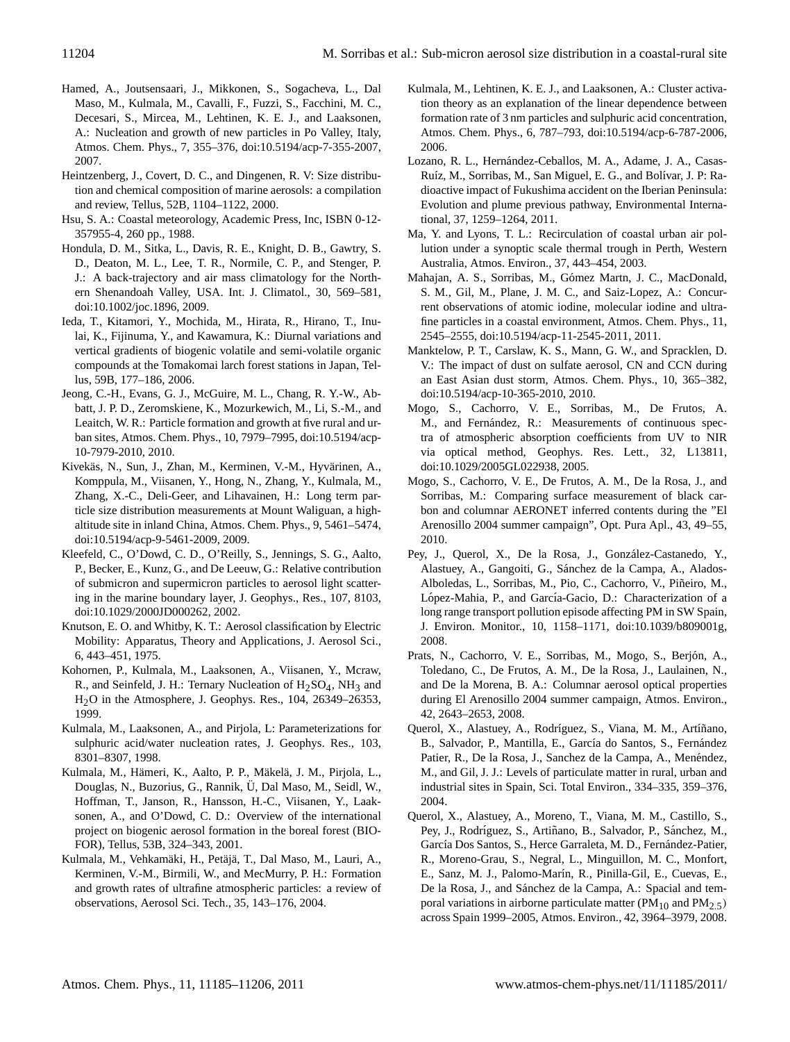- Hamed, A., Joutsensaari, J., Mikkonen, S., Sogacheva, L., Dal Maso, M., Kulmala, M., Cavalli, F., Fuzzi, S., Facchini, M. C., Decesari, S., Mircea, M., Lehtinen, K. E. J., and Laaksonen, A.: Nucleation and growth of new particles in Po Valley, Italy, Atmos. Chem. Phys., 7, 355–376, [doi:10.5194/acp-7-355-2007,](http://dx.doi.org/10.5194/acp-7-355-2007) 2007.
- Heintzenberg, J., Covert, D. C., and Dingenen, R. V: Size distribution and chemical composition of marine aerosols: a compilation and review, Tellus, 52B, 1104–1122, 2000.
- Hsu, S. A.: Coastal meteorology, Academic Press, Inc, ISBN 0-12- 357955-4, 260 pp., 1988.
- Hondula, D. M., Sitka, L., Davis, R. E., Knight, D. B., Gawtry, S. D., Deaton, M. L., Lee, T. R., Normile, C. P., and Stenger, P. J.: A back-trajectory and air mass climatology for the Northern Shenandoah Valley, USA. Int. J. Climatol., 30, 569–581, [doi:10.1002/joc.1896,](http://dx.doi.org/10.1002/joc.1896) 2009.
- Ieda, T., Kitamori, Y., Mochida, M., Hirata, R., Hirano, T., Inulai, K., Fijinuma, Y., and Kawamura, K.: Diurnal variations and vertical gradients of biogenic volatile and semi-volatile organic compounds at the Tomakomai larch forest stations in Japan, Tellus, 59B, 177–186, 2006.
- Jeong, C.-H., Evans, G. J., McGuire, M. L., Chang, R. Y.-W., Abbatt, J. P. D., Zeromskiene, K., Mozurkewich, M., Li, S.-M., and Leaitch, W. R.: Particle formation and growth at five rural and urban sites, Atmos. Chem. Phys., 10, 7979–7995, [doi:10.5194/acp-](http://dx.doi.org/10.5194/acp-10-7979-2010)[10-7979-2010,](http://dx.doi.org/10.5194/acp-10-7979-2010) 2010.
- Kivekäs, N., Sun, J., Zhan, M., Kerminen, V.-M., Hyvärinen, A., Komppula, M., Viisanen, Y., Hong, N., Zhang, Y., Kulmala, M., Zhang, X.-C., Deli-Geer, and Lihavainen, H.: Long term particle size distribution measurements at Mount Waliguan, a highaltitude site in inland China, Atmos. Chem. Phys., 9, 5461–5474, [doi:10.5194/acp-9-5461-2009,](http://dx.doi.org/10.5194/acp-9-5461-2009) 2009.
- Kleefeld, C., O'Dowd, C. D., O'Reilly, S., Jennings, S. G., Aalto, P., Becker, E., Kunz, G., and De Leeuw, G.: Relative contribution of submicron and supermicron particles to aerosol light scattering in the marine boundary layer, J. Geophys., Res., 107, 8103, [doi:10.1029/2000JD000262,](http://dx.doi.org/10.1029/2000JD000262) 2002.
- Knutson, E. O. and Whitby, K. T.: Aerosol classification by Electric Mobility: Apparatus, Theory and Applications, J. Aerosol Sci., 6, 443–451, 1975.
- Kohornen, P., Kulmala, M., Laaksonen, A., Viisanen, Y., Mcraw, R., and Seinfeld, J. H.: Ternary Nucleation of  $H_2SO_4$ , NH<sub>3</sub> and H2O in the Atmosphere, J. Geophys. Res., 104, 26349–26353, 1999.
- Kulmala, M., Laaksonen, A., and Pirjola, L: Parameterizations for sulphuric acid/water nucleation rates, J. Geophys. Res., 103, 8301–8307, 1998.
- Kulmala, M., Hämeri, K., Aalto, P. P., Mäkelä, J. M., Pirjola, L., Douglas, N., Buzorius, G., Rannik, U, Dal Maso, M., Seidl, W., ¨ Hoffman, T., Janson, R., Hansson, H.-C., Viisanen, Y., Laaksonen, A., and O'Dowd, C. D.: Overview of the international project on biogenic aerosol formation in the boreal forest (BIO-FOR), Tellus, 53B, 324–343, 2001.
- Kulmala, M., Vehkamäki, H., Petäjä, T., Dal Maso, M., Lauri, A., Kerminen, V.-M., Birmili, W., and MecMurry, P. H.: Formation and growth rates of ultrafine atmospheric particles: a review of observations, Aerosol Sci. Tech., 35, 143–176, 2004.
- Kulmala, M., Lehtinen, K. E. J., and Laaksonen, A.: Cluster activation theory as an explanation of the linear dependence between formation rate of 3 nm particles and sulphuric acid concentration, Atmos. Chem. Phys., 6, 787–793, [doi:10.5194/acp-6-787-2006,](http://dx.doi.org/10.5194/acp-6-787-2006) 2006.
- Lozano, R. L., Hernández-Ceballos, M. A., Adame, J. A., Casas-Ruíz, M., Sorribas, M., San Miguel, E. G., and Bolívar, J. P: Radioactive impact of Fukushima accident on the Iberian Peninsula: Evolution and plume previous pathway, Environmental International, 37, 1259–1264, 2011.
- Ma, Y. and Lyons, T. L.: Recirculation of coastal urban air pollution under a synoptic scale thermal trough in Perth, Western Australia, Atmos. Environ., 37, 443–454, 2003.
- Mahajan, A. S., Sorribas, M., Gómez Martn, J. C., MacDonald, S. M., Gil, M., Plane, J. M. C., and Saiz-Lopez, A.: Concurrent observations of atomic iodine, molecular iodine and ultrafine particles in a coastal environment, Atmos. Chem. Phys., 11, 2545–2555, [doi:10.5194/acp-11-2545-2011,](http://dx.doi.org/10.5194/acp-11-2545-2011) 2011.
- Manktelow, P. T., Carslaw, K. S., Mann, G. W., and Spracklen, D. V.: The impact of dust on sulfate aerosol, CN and CCN during an East Asian dust storm, Atmos. Chem. Phys., 10, 365–382, [doi:10.5194/acp-10-365-2010,](http://dx.doi.org/10.5194/acp-10-365-2010) 2010.
- Mogo, S., Cachorro, V. E., Sorribas, M., De Frutos, A. M., and Fernández, R.: Measurements of continuous spectra of atmospheric absorption coefficients from UV to NIR via optical method, Geophys. Res. Lett., 32, L13811, [doi:10.1029/2005GL022938,](http://dx.doi.org/10.1029/2005GL022938) 2005.
- Mogo, S., Cachorro, V. E., De Frutos, A. M., De la Rosa, J., and Sorribas, M.: Comparing surface measurement of black carbon and columnar AERONET inferred contents during the "El Arenosillo 2004 summer campaign", Opt. Pura Apl., 43, 49–55, 2010.
- Pey, J., Querol, X., De la Rosa, J., Gonzalez-Castanedo, Y., ´ Alastuey, A., Gangoiti, G., Sánchez de la Campa, A., Alados-Alboledas, L., Sorribas, M., Pio, C., Cachorro, V., Piñeiro, M., López-Mahia, P., and García-Gacio, D.: Characterization of a long range transport pollution episode affecting PM in SW Spain, J. Environ. Monitor., 10, 1158–1171, [doi:10.1039/b809001g,](http://dx.doi.org/10.1039/b809001g) 2008.
- Prats, N., Cachorro, V. E., Sorribas, M., Mogo, S., Berjón, A., Toledano, C., De Frutos, A. M., De la Rosa, J., Laulainen, N., and De la Morena, B. A.: Columnar aerosol optical properties during El Arenosillo 2004 summer campaign, Atmos. Environ., 42, 2643–2653, 2008.
- Querol, X., Alastuey, A., Rodríguez, S., Viana, M. M., Artíñano, B., Salvador, P., Mantilla, E., García do Santos, S., Fernández Patier, R., De la Rosa, J., Sanchez de la Campa, A., Menéndez, M., and Gil, J. J.: Levels of particulate matter in rural, urban and industrial sites in Spain, Sci. Total Environ., 334–335, 359–376, 2004.
- Querol, X., Alastuey, A., Moreno, T., Viana, M. M., Castillo, S., Pey, J., Rodríguez, S., Artiñano, B., Salvador, P., Sánchez, M., García Dos Santos, S., Herce Garraleta, M. D., Fernández-Patier, R., Moreno-Grau, S., Negral, L., Minguillon, M. C., Monfort, E., Sanz, M. J., Palomo-Marín, R., Pinilla-Gil, E., Cuevas, E., De la Rosa, J., and Sánchez de la Campa, A.: Spacial and temporal variations in airborne particulate matter ( $PM_{10}$  and  $PM_{2.5}$ ) across Spain 1999–2005, Atmos. Environ., 42, 3964–3979, 2008.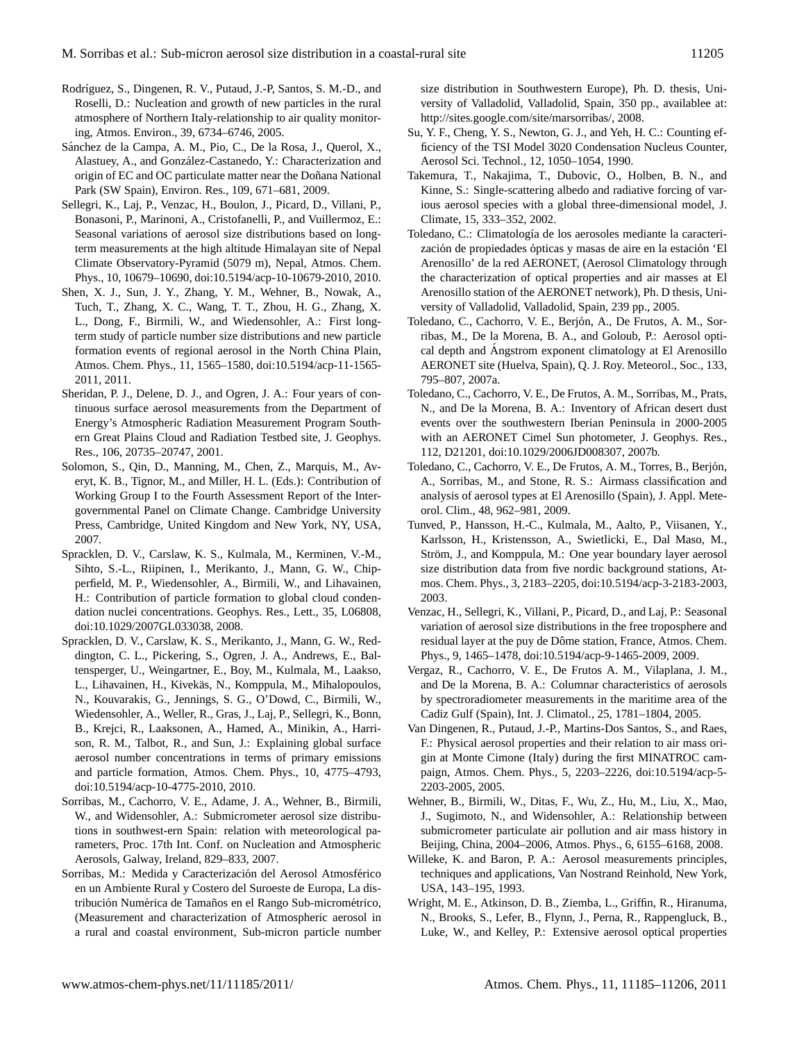- Rodríguez, S., Dingenen, R. V., Putaud, J.-P, Santos, S. M.-D., and Roselli, D.: Nucleation and growth of new particles in the rural atmosphere of Northern Italy-relationship to air quality monitoring, Atmos. Environ., 39, 6734–6746, 2005.
- Sánchez de la Campa, A. M., Pio, C., De la Rosa, J., Querol, X., Alastuey, A., and Gonzalez-Castanedo, Y.: Characterization and ´ origin of EC and OC particulate matter near the Doñana National Park (SW Spain), Environ. Res., 109, 671–681, 2009.
- Sellegri, K., Laj, P., Venzac, H., Boulon, J., Picard, D., Villani, P., Bonasoni, P., Marinoni, A., Cristofanelli, P., and Vuillermoz, E.: Seasonal variations of aerosol size distributions based on longterm measurements at the high altitude Himalayan site of Nepal Climate Observatory-Pyramid (5079 m), Nepal, Atmos. Chem. Phys., 10, 10679–10690, [doi:10.5194/acp-10-10679-2010,](http://dx.doi.org/10.5194/acp-10-10679-2010) 2010.
- Shen, X. J., Sun, J. Y., Zhang, Y. M., Wehner, B., Nowak, A., Tuch, T., Zhang, X. C., Wang, T. T., Zhou, H. G., Zhang, X. L., Dong, F., Birmili, W., and Wiedensohler, A.: First longterm study of particle number size distributions and new particle formation events of regional aerosol in the North China Plain, Atmos. Chem. Phys., 11, 1565–1580, [doi:10.5194/acp-11-1565-](http://dx.doi.org/10.5194/acp-11-1565-2011) [2011,](http://dx.doi.org/10.5194/acp-11-1565-2011) 2011.
- Sheridan, P. J., Delene, D. J., and Ogren, J. A.: Four years of continuous surface aerosol measurements from the Department of Energy's Atmospheric Radiation Measurement Program Southern Great Plains Cloud and Radiation Testbed site, J. Geophys. Res., 106, 20735–20747, 2001.
- Solomon, S., Qin, D., Manning, M., Chen, Z., Marquis, M., Averyt, K. B., Tignor, M., and Miller, H. L. (Eds.): Contribution of Working Group I to the Fourth Assessment Report of the Intergovernmental Panel on Climate Change. Cambridge University Press, Cambridge, United Kingdom and New York, NY, USA, 2007.
- Spracklen, D. V., Carslaw, K. S., Kulmala, M., Kerminen, V.-M., Sihto, S.-L., Riipinen, I., Merikanto, J., Mann, G. W., Chipperfield, M. P., Wiedensohler, A., Birmili, W., and Lihavainen, H.: Contribution of particle formation to global cloud condendation nuclei concentrations. Geophys. Res., Lett., 35, L06808, [doi:10.1029/2007GL033038,](http://dx.doi.org/10.1029/2007GL033038) 2008.
- Spracklen, D. V., Carslaw, K. S., Merikanto, J., Mann, G. W., Reddington, C. L., Pickering, S., Ogren, J. A., Andrews, E., Baltensperger, U., Weingartner, E., Boy, M., Kulmala, M., Laakso, L., Lihavainen, H., Kivekäs, N., Komppula, M., Mihalopoulos, N., Kouvarakis, G., Jennings, S. G., O'Dowd, C., Birmili, W., Wiedensohler, A., Weller, R., Gras, J., Laj, P., Sellegri, K., Bonn, B., Krejci, R., Laaksonen, A., Hamed, A., Minikin, A., Harrison, R. M., Talbot, R., and Sun, J.: Explaining global surface aerosol number concentrations in terms of primary emissions and particle formation, Atmos. Chem. Phys., 10, 4775–4793, [doi:10.5194/acp-10-4775-2010,](http://dx.doi.org/10.5194/acp-10-4775-2010) 2010.
- Sorribas, M., Cachorro, V. E., Adame, J. A., Wehner, B., Birmili, W., and Widensohler, A.: Submicrometer aerosol size distributions in southwest-ern Spain: relation with meteorological parameters, Proc. 17th Int. Conf. on Nucleation and Atmospheric Aerosols, Galway, Ireland, 829–833, 2007.
- Sorribas, M.: Medida y Caracterización del Aerosol Atmosférico en un Ambiente Rural y Costero del Suroeste de Europa, La distribución Numérica de Tamaños en el Rango Sub-micrométrico, (Measurement and characterization of Atmospheric aerosol in a rural and coastal environment, Sub-micron particle number

size distribution in Southwestern Europe), Ph. D. thesis, University of Valladolid, Valladolid, Spain, 350 pp., availablee at: [http://sites.google.com/site/marsorribas/,](http://sites.google.com/site/marsorribas/) 2008.

- Su, Y. F., Cheng, Y. S., Newton, G. J., and Yeh, H. C.: Counting efficiency of the TSI Model 3020 Condensation Nucleus Counter, Aerosol Sci. Technol., 12, 1050–1054, 1990.
- Takemura, T., Nakajima, T., Dubovic, O., Holben, B. N., and Kinne, S.: Single-scattering albedo and radiative forcing of various aerosol species with a global three-dimensional model, J. Climate, 15, 333–352, 2002.
- Toledano, C.: Climatología de los aerosoles mediante la caracterización de propiedades ópticas y masas de aire en la estación 'El Arenosillo' de la red AERONET, (Aerosol Climatology through the characterization of optical properties and air masses at El Arenosillo station of the AERONET network), Ph. D thesis, University of Valladolid, Valladolid, Spain, 239 pp., 2005.
- Toledano, C., Cachorro, V. E., Berjón, A., De Frutos, A. M., Sorribas, M., De la Morena, B. A., and Goloub, P.: Aerosol optical depth and Angstrom exponent climatology at El Arenosillo ´ AERONET site (Huelva, Spain), Q. J. Roy. Meteorol., Soc., 133, 795–807, 2007a.
- Toledano, C., Cachorro, V. E., De Frutos, A. M., Sorribas, M., Prats, N., and De la Morena, B. A.: Inventory of African desert dust events over the southwestern Iberian Peninsula in 2000-2005 with an AERONET Cimel Sun photometer, J. Geophys. Res., 112, D21201, [doi:10.1029/2006JD008307,](http://dx.doi.org/10.1029/2006JD008307) 2007b.
- Toledano, C., Cachorro, V. E., De Frutos, A. M., Torres, B., Berjón, A., Sorribas, M., and Stone, R. S.: Airmass classification and analysis of aerosol types at El Arenosillo (Spain), J. Appl. Meteorol. Clim., 48, 962–981, 2009.
- Tunved, P., Hansson, H.-C., Kulmala, M., Aalto, P., Viisanen, Y., Karlsson, H., Kristensson, A., Swietlicki, E., Dal Maso, M., Ström, J., and Komppula, M.: One year boundary layer aerosol size distribution data from five nordic background stations, Atmos. Chem. Phys., 3, 2183–2205, [doi:10.5194/acp-3-2183-2003,](http://dx.doi.org/10.5194/acp-3-2183-2003) 2003.
- Venzac, H., Sellegri, K., Villani, P., Picard, D., and Laj, P.: Seasonal variation of aerosol size distributions in the free troposphere and residual layer at the puy de Dôme station, France, Atmos. Chem. Phys., 9, 1465–1478, [doi:10.5194/acp-9-1465-2009,](http://dx.doi.org/10.5194/acp-9-1465-2009) 2009.
- Vergaz, R., Cachorro, V. E., De Frutos A. M., Vilaplana, J. M., and De la Morena, B. A.: Columnar characteristics of aerosols by spectroradiometer measurements in the maritime area of the Cadiz Gulf (Spain), Int. J. Climatol., 25, 1781–1804, 2005.
- Van Dingenen, R., Putaud, J.-P., Martins-Dos Santos, S., and Raes, F.: Physical aerosol properties and their relation to air mass origin at Monte Cimone (Italy) during the first MINATROC campaign, Atmos. Chem. Phys., 5, 2203–2226, [doi:10.5194/acp-5-](http://dx.doi.org/10.5194/acp-5-2203-2005) [2203-2005,](http://dx.doi.org/10.5194/acp-5-2203-2005) 2005.
- Wehner, B., Birmili, W., Ditas, F., Wu, Z., Hu, M., Liu, X., Mao, J., Sugimoto, N., and Widensohler, A.: Relationship between submicrometer particulate air pollution and air mass history in Beijing, China, 2004–2006, Atmos. Phys., 6, 6155–6168, 2008.
- Willeke, K. and Baron, P. A.: Aerosol measurements principles, techniques and applications, Van Nostrand Reinhold, New York, USA, 143–195, 1993.
- Wright, M. E., Atkinson, D. B., Ziemba, L., Griffin, R., Hiranuma, N., Brooks, S., Lefer, B., Flynn, J., Perna, R., Rappengluck, B., Luke, W., and Kelley, P.: Extensive aerosol optical properties